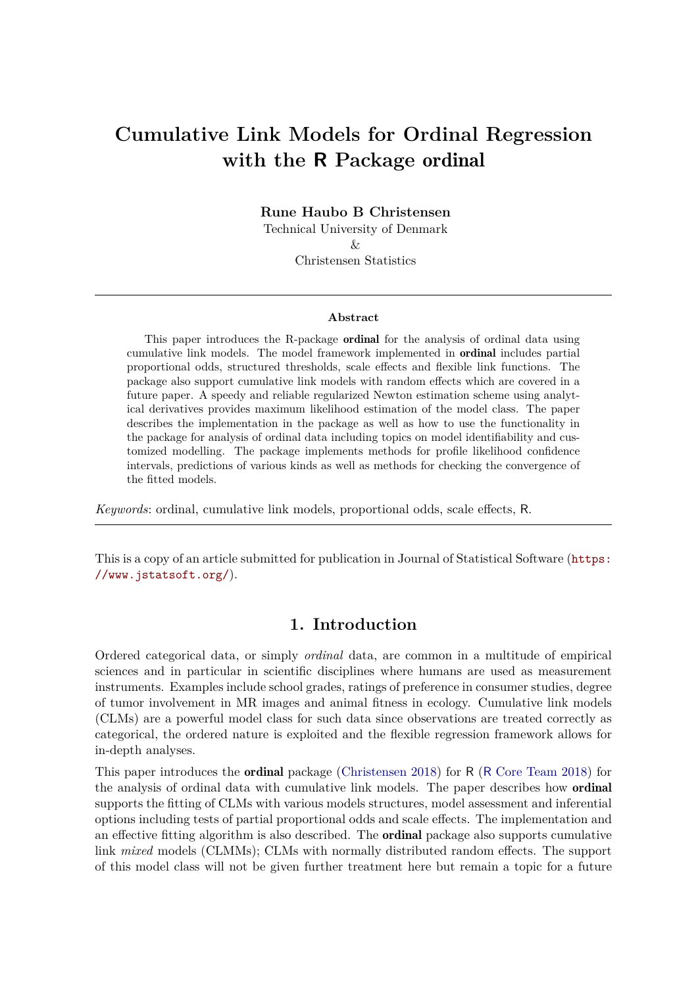# **Cumulative Link Models for Ordinal Regression with the R Package** ordinal

**Rune Haubo B Christensen**

Technical University of Denmark  $\chi$ 

Christensen Statistics

#### **Abstract**

This paper introduces the R-package ordinal for the analysis of ordinal data using cumulative link models. The model framework implemented in ordinal includes partial proportional odds, structured thresholds, scale effects and flexible link functions. The package also support cumulative link models with random effects which are covered in a future paper. A speedy and reliable regularized Newton estimation scheme using analytical derivatives provides maximum likelihood estimation of the model class. The paper describes the implementation in the package as well as how to use the functionality in the package for analysis of ordinal data including topics on model identifiability and customized modelling. The package implements methods for profile likelihood confidence intervals, predictions of various kinds as well as methods for checking the convergence of the fitted models.

*Keywords*: ordinal, cumulative link models, proportional odds, scale effects, R.

This is a copy of an article submitted for publication in Journal of Statistical Software ([https:](https://www.jstatsoft.org/) [//www.jstatsoft.org/](https://www.jstatsoft.org/)).

## **1. Introduction**

Ordered categorical data, or simply *ordinal* data, are common in a multitude of empirical sciences and in particular in scientific disciplines where humans are used as measurement instruments. Examples include school grades, ratings of preference in consumer studies, degree of tumor involvement in MR images and animal fitness in ecology. Cumulative link models (CLMs) are a powerful model class for such data since observations are treated correctly as categorical, the ordered nature is exploited and the flexible regression framework allows for in-depth analyses.

This paper introduces the ordinal package [\(Christensen 2018\)](#page-38-0) for R (R [Core Team 2018\)](#page-39-0) for the analysis of ordinal data with cumulative link models. The paper describes how ordinal supports the fitting of CLMs with various models structures, model assessment and inferential options including tests of partial proportional odds and scale effects. The implementation and an effective fitting algorithm is also described. The ordinal package also supports cumulative link *mixed* models (CLMMs); CLMs with normally distributed random effects. The support of this model class will not be given further treatment here but remain a topic for a future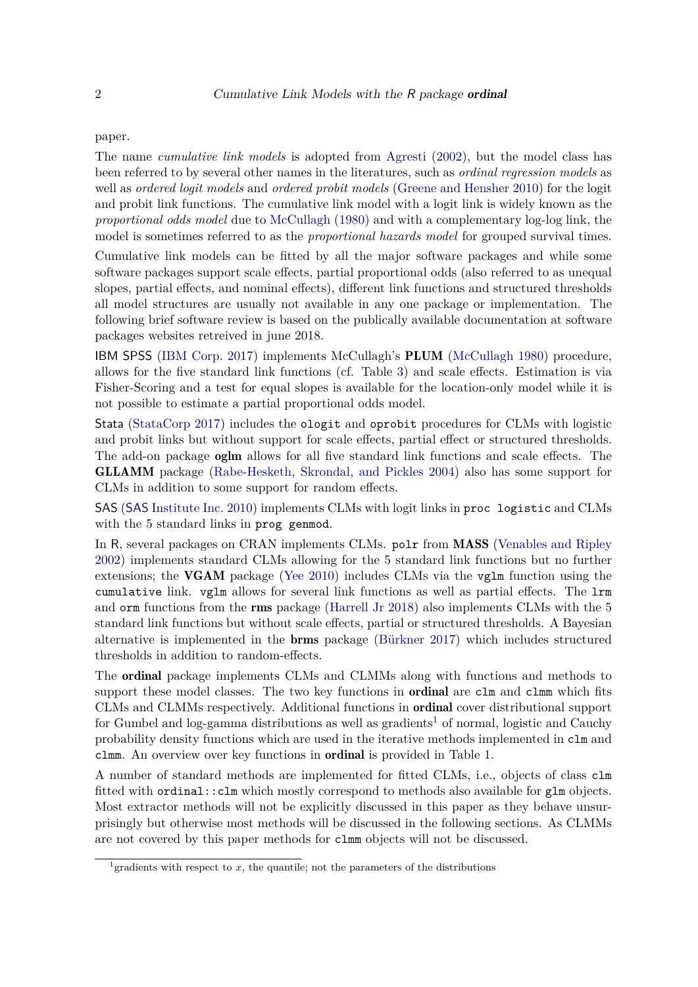paper.

The name *cumulative link models* is adopted from [Agresti](#page-37-0) [\(2002\)](#page-37-0), but the model class has been referred to by several other names in the literatures, such as *ordinal regression models* as well as *ordered logit models* and *ordered probit models* [\(Greene and Hensher 2010\)](#page-38-1) for the logit and probit link functions. The cumulative link model with a logit link is widely known as the *proportional odds model* due to [McCullagh](#page-38-2) [\(1980\)](#page-38-2) and with a complementary log-log link, the model is sometimes referred to as the *proportional hazards model* for grouped survival times.

Cumulative link models can be fitted by all the major software packages and while some software packages support scale effects, partial proportional odds (also referred to as unequal slopes, partial effects, and nominal effects), different link functions and structured thresholds all model structures are usually not available in any one package or implementation. The following brief software review is based on the publically available documentation at software packages websites retreived in june 2018.

IBM SPSS [\(IBM Corp. 2017\)](#page-38-3) implements McCullagh's PLUM [\(McCullagh 1980\)](#page-38-2) procedure, allows for the five standard link functions (cf. Table [3\)](#page-5-0) and scale effects. Estimation is via Fisher-Scoring and a test for equal slopes is available for the location-only model while it is not possible to estimate a partial proportional odds model.

Stata [\(StataCorp 2017\)](#page-39-1) includes the ologit and oprobit procedures for CLMs with logistic and probit links but without support for scale effects, partial effect or structured thresholds. The add-on package oglm allows for all five standard link functions and scale effects. The GLLAMM package [\(Rabe-Hesketh, Skrondal, and Pickles 2004\)](#page-39-2) also has some support for CLMs in addition to some support for random effects.

SAS (SAS [Institute Inc. 2010\)](#page-39-3) implements CLMs with logit links in proc logistic and CLMs with the 5 standard links in prog genmod.

In R, several packages on CRAN implements CLMs. polr from MASS [\(Venables and Ripley](#page-39-4) [2002\)](#page-39-4) implements standard CLMs allowing for the 5 standard link functions but no further extensions; the VGAM package [\(Yee 2010\)](#page-39-5) includes CLMs via the vglm function using the cumulative link. vglm allows for several link functions as well as partial effects. The lrm and orm functions from the rms package [\(Harrell Jr 2018\)](#page-38-4) also implements CLMs with the 5 standard link functions but without scale effects, partial or structured thresholds. A Bayesian alternative is implemented in the brms package [\(Bürkner 2017\)](#page-38-5) which includes structured thresholds in addition to random-effects.

The ordinal package implements CLMs and CLMMs along with functions and methods to support these model classes. The two key functions in **ordinal** are clm and clmm which fits CLMs and CLMMs respectively. Additional functions in ordinal cover distributional support for Gumbel and log-gamma distributions as well as gradients<sup>[1](#page-1-0)</sup> of normal, logistic and Cauchy probability density functions which are used in the iterative methods implemented in clm and clmm. An overview over key functions in ordinal is provided in Table [1.](#page-2-0)

A number of standard methods are implemented for fitted CLMs, i.e., objects of class clm fitted with ordinal::clm which mostly correspond to methods also available for glm objects. Most extractor methods will not be explicitly discussed in this paper as they behave unsurprisingly but otherwise most methods will be discussed in the following sections. As CLMMs are not covered by this paper methods for clmm objects will not be discussed.

<span id="page-1-0"></span><sup>&</sup>lt;sup>1</sup> gradients with respect to  $x$ , the quantile; not the parameters of the distributions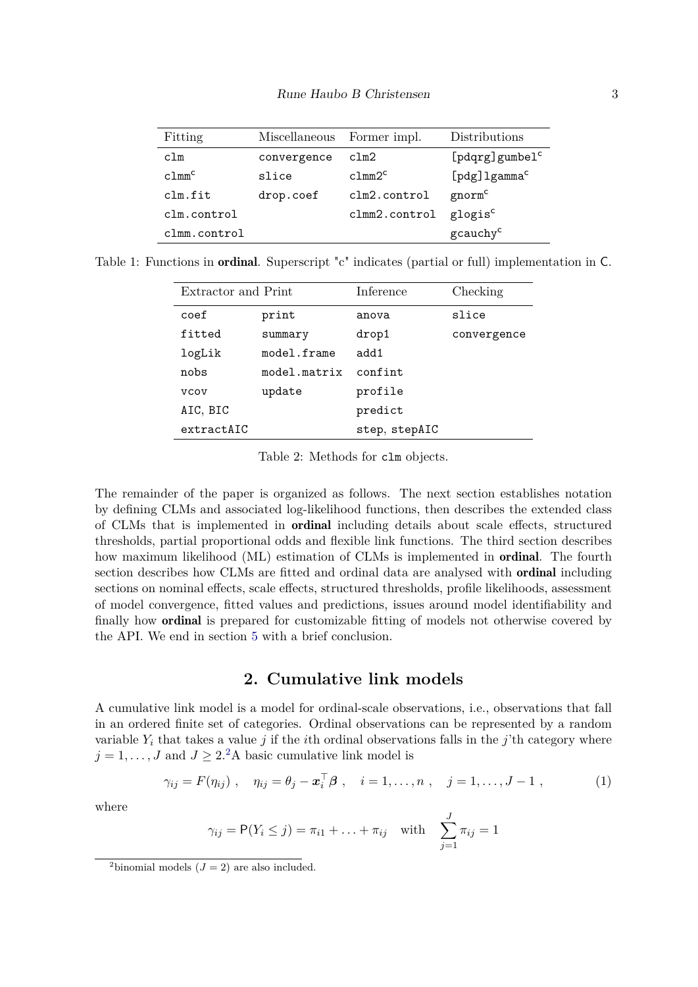| Fitting           | Miscellaneous | Former impl.       | Distributions              |
|-------------------|---------------|--------------------|----------------------------|
| c1m               | convergence   | clm2               | [pdqrg]gumbel <sup>c</sup> |
| clmm <sup>c</sup> | slice         | c1mm2 <sup>c</sup> | [pdg] lgamma <sup>c</sup>  |
| clm.fit           | drop.coef     | clm2.control       | gnorm <sup>c</sup>         |
| clm.control       |               | clmm2.control      | glogis <sup>c</sup>        |
| clmm.control      |               |                    | gcauchy <sup>c</sup>       |

Table 1: Functions in ordinal. Superscript "c" indicates (partial or full) implementation in C.

<span id="page-2-0"></span>

| Extractor and Print |              | Inference     | Checking    |  |
|---------------------|--------------|---------------|-------------|--|
| coef                | print        | anova         | slice       |  |
| fitted              | summary      | drop1         | convergence |  |
| logLik              | model.frame  | add1          |             |  |
| nobs                | model.matrix | confint       |             |  |
| <b>VCOV</b>         | update       | profile       |             |  |
| AIC, BIC            |              | predict       |             |  |
| extractAIC          |              | step, stepAIC |             |  |

Table 2: Methods for clm objects.

The remainder of the paper is organized as follows. The next section establishes notation by defining CLMs and associated log-likelihood functions, then describes the extended class of CLMs that is implemented in ordinal including details about scale effects, structured thresholds, partial proportional odds and flexible link functions. The third section describes how maximum likelihood (ML) estimation of CLMs is implemented in ordinal. The fourth section describes how CLMs are fitted and ordinal data are analysed with **ordinal** including sections on nominal effects, scale effects, structured thresholds, profile likelihoods, assessment of model convergence, fitted values and predictions, issues around model identifiability and finally how ordinal is prepared for customizable fitting of models not otherwise covered by the API. We end in section [5](#page-37-1) with a brief conclusion.

# <span id="page-2-2"></span>**2. Cumulative link models**

A cumulative link model is a model for ordinal-scale observations, i.e., observations that fall in an ordered finite set of categories. Ordinal observations can be represented by a random variable  $Y_i$  that takes a value *j* if the *i*th ordinal observations falls in the *j*'th category where  $j = 1, \ldots, J$  and  $J \geq 2^2$  $J \geq 2^2$  $J \geq 2^2$ A basic cumulative link model is

$$
\gamma_{ij} = F(\eta_{ij}), \quad \eta_{ij} = \theta_j - \boldsymbol{x}_i^{\top} \boldsymbol{\beta} , \quad i = 1, ..., n , \quad j = 1, ..., J-1 ,
$$
\n(1)

where

$$
\gamma_{ij} = P(Y_i \leq j) = \pi_{i1} + ... + \pi_{ij}
$$
 with  $\sum_{j=1}^{J} \pi_{ij} = 1$ 

<span id="page-2-1"></span><sup>&</sup>lt;sup>2</sup>binomial models  $(J = 2)$  are also included.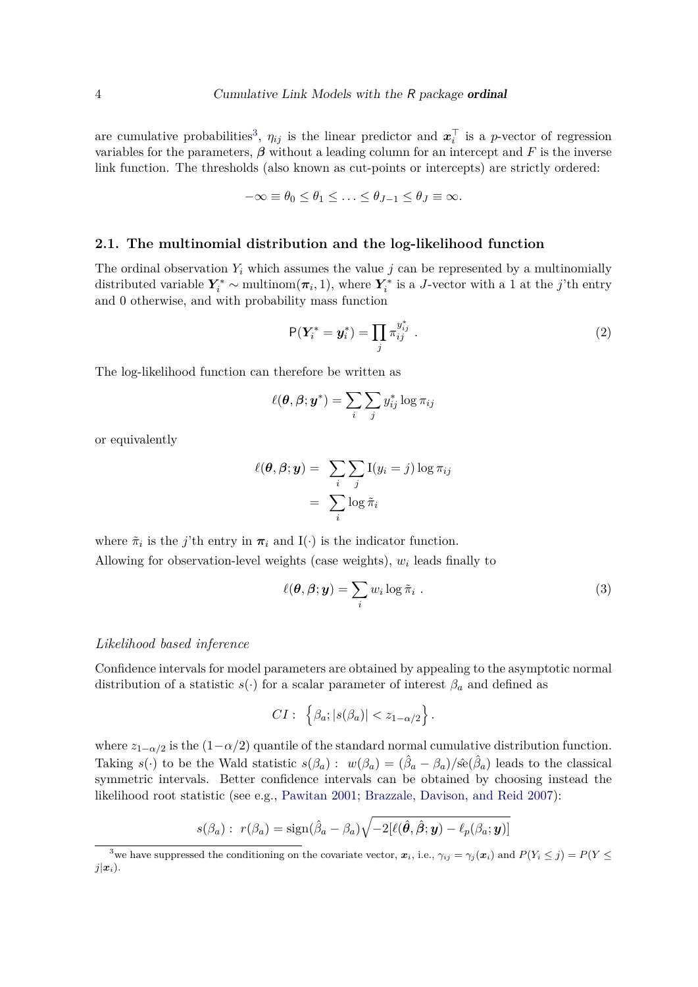are cumulative probabilities<sup>[3](#page-3-0)</sup>,  $\eta_{ij}$  is the linear predictor and  $\boldsymbol{x}_i^{\top}$  $i$ <sup> $\mid$ </sup> is a *p*-vector of regression variables for the parameters,  $\beta$  without a leading column for an intercept and F is the inverse link function. The thresholds (also known as cut-points or intercepts) are strictly ordered:

$$
-\infty \equiv \theta_0 \le \theta_1 \le \ldots \le \theta_{J-1} \le \theta_J \equiv \infty.
$$

#### **2.1. The multinomial distribution and the log-likelihood function**

The ordinal observation  $Y_i$  which assumes the value  $j$  can be represented by a multinomially distributed variable  $Y_i^* \sim \text{multinom}(\pi_i, 1)$ , where  $Y_i^*$  $\mathcal{I}_i^*$  is a *J*-vector with a 1 at the *j*'th entry and 0 otherwise, and with probability mass function

<span id="page-3-2"></span>
$$
\mathsf{P}(\boldsymbol{Y}_i^* = \boldsymbol{y}_i^*) = \prod_j \pi_{ij}^{y_{ij}^*} \tag{2}
$$

The log-likelihood function can therefore be written as

$$
\ell(\boldsymbol{\theta}, \boldsymbol{\beta}; \boldsymbol{y}^*) = \sum_i \sum_j y^*_{ij} \log \pi_{ij}
$$

or equivalently

$$
\ell(\boldsymbol{\theta}, \boldsymbol{\beta}; \boldsymbol{y}) = \sum_{i} \sum_{j} I(y_i = j) \log \pi_{ij}
$$

$$
= \sum_{i} \log \tilde{\pi}_i
$$

where  $\tilde{\pi}_i$  is the *j*'th entry in  $\pi_i$  and I(·) is the indicator function.

Allowing for observation-level weights (case weights),  $w_i$  leads finally to

<span id="page-3-1"></span>
$$
\ell(\boldsymbol{\theta}, \boldsymbol{\beta}; \boldsymbol{y}) = \sum_{i} w_i \log \tilde{\pi}_i .
$$
 (3)

#### *Likelihood based inference*

Confidence intervals for model parameters are obtained by appealing to the asymptotic normal distribution of a statistic  $s(\cdot)$  for a scalar parameter of interest  $\beta_a$  and defined as

$$
CI: \left\{\beta_a; |s(\beta_a)| < z_{1-\alpha/2}\right\}.
$$

where  $z_{1-\alpha/2}$  is the  $(1-\alpha/2)$  quantile of the standard normal cumulative distribution function. Taking *s*(·) to be the Wald statistic  $s(\beta_a): w(\beta_a) = (\hat{\beta}_a - \beta_a)/\hat{se}(\hat{\beta}_a)$  leads to the classical symmetric intervals. Better confidence intervals can be obtained by choosing instead the likelihood root statistic (see e.g., [Pawitan 2001;](#page-38-6) [Brazzale, Davison, and Reid 2007\)](#page-37-2):

$$
s(\beta_a): r(\beta_a) = \text{sign}(\hat{\beta}_a - \beta_a)\sqrt{-2[\ell(\hat{\boldsymbol{\theta}}, \hat{\boldsymbol{\beta}}; \boldsymbol{y}) - \ell_p(\beta_a; \boldsymbol{y})]}
$$

<span id="page-3-0"></span><sup>&</sup>lt;sup>3</sup>we have suppressed the conditioning on the covariate vector,  $x_i$ , i.e.,  $\gamma_{ij} = \gamma_j(x_i)$  and  $P(Y_i \leq j) = P(Y \leq j)$  $j(x_i)$ .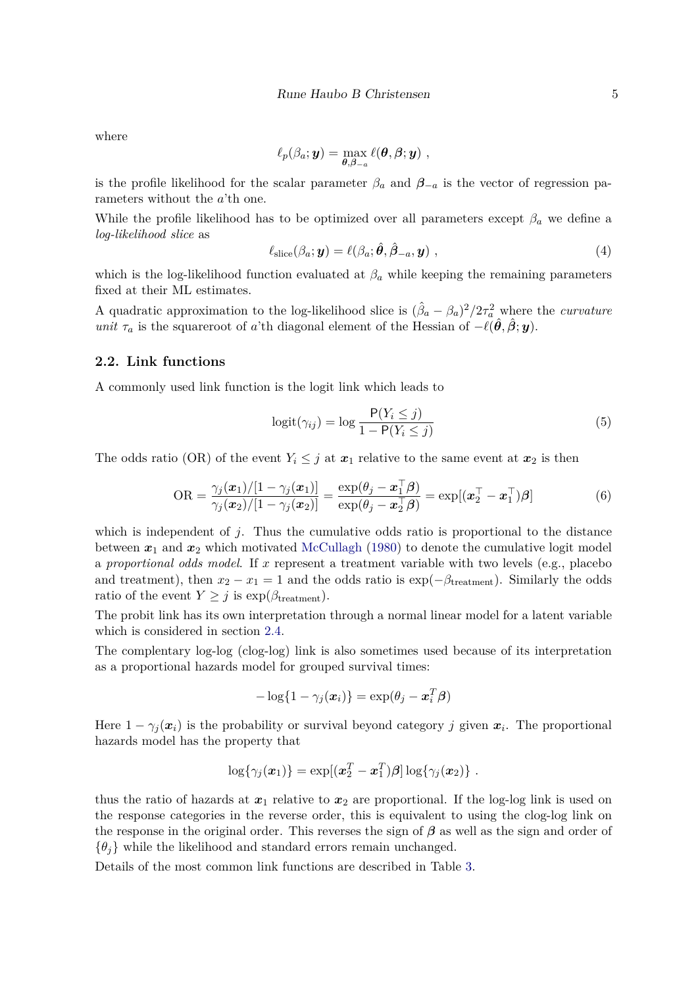where

$$
\ell_p(\beta_a; {\boldsymbol y}) = \max_{{\boldsymbol \theta},{\boldsymbol \beta} = a} \ell({\boldsymbol \theta},{\boldsymbol \beta};{\boldsymbol y})\;,
$$

is the profile likelihood for the scalar parameter  $\beta_a$  and  $\beta_{-a}$  is the vector of regression parameters without the *a*'th one.

While the profile likelihood has to be optimized over all parameters except  $\beta_a$  we define a *log-likelihood slice* as

$$
\ell_{\text{slice}}(\beta_a; \mathbf{y}) = \ell(\beta_a; \hat{\boldsymbol{\theta}}, \hat{\boldsymbol{\beta}}_{-a}, \mathbf{y}), \qquad (4)
$$

which is the log-likelihood function evaluated at  $\beta_a$  while keeping the remaining parameters fixed at their ML estimates.

A quadratic approximation to the log-likelihood slice is  $(\hat{\beta}_a - \beta_a)^2/2\tau_a^2$  where the *curvature unit*  $\tau_a$  is the squareroot of *a*'th diagonal element of the Hessian of  $-\ell(\hat{\theta}, \hat{\beta}; \mathbf{y})$ .

#### **2.2. Link functions**

A commonly used link function is the logit link which leads to

$$
logit(\gamma_{ij}) = log \frac{P(Y_i \leq j)}{1 - P(Y_i \leq j)}
$$
\n(5)

The odds ratio (OR) of the event  $Y_i \leq j$  at  $x_1$  relative to the same event at  $x_2$  is then

OR = 
$$
\frac{\gamma_j(\boldsymbol{x}_1)/[1-\gamma_j(\boldsymbol{x}_1)]}{\gamma_j(\boldsymbol{x}_2)/[1-\gamma_j(\boldsymbol{x}_2)]} = \frac{\exp(\theta_j - \boldsymbol{x}_1^\top \boldsymbol{\beta})}{\exp(\theta_j - \boldsymbol{x}_2^\top \boldsymbol{\beta})} = \exp[(\boldsymbol{x}_2^\top - \boldsymbol{x}_1^\top) \boldsymbol{\beta}]
$$
(6)

which is independent of *j*. Thus the cumulative odds ratio is proportional to the distance between  $x_1$  and  $x_2$  which motivated [McCullagh](#page-38-2) [\(1980\)](#page-38-2) to denote the cumulative logit model a *proportional odds model*. If *x* represent a treatment variable with two levels (e.g., placebo and treatment), then  $x_2 - x_1 = 1$  and the odds ratio is  $\exp(-\beta_{\text{treatment}})$ . Similarly the odds ratio of the event  $Y \geq j$  is  $\exp(\beta_{\text{treatment}})$ .

The probit link has its own interpretation through a normal linear model for a latent variable which is considered in section [2.4.](#page-6-0)

The complentary log-log (clog-log) link is also sometimes used because of its interpretation as a proportional hazards model for grouped survival times:

$$
-\log\{1-\gamma_j(\boldsymbol{x}_i)\}=\exp(\theta_j-\boldsymbol{x}_i^T\boldsymbol{\beta})
$$

Here  $1 - \gamma_j(\boldsymbol{x}_i)$  is the probability or survival beyond category *j* given  $\boldsymbol{x}_i$ . The proportional hazards model has the property that

$$
\log\{\gamma_j(\boldsymbol{x}_1)\} = \exp[(\boldsymbol{x}_2^T - \boldsymbol{x}_1^T)\boldsymbol{\beta}]\log\{\gamma_j(\boldsymbol{x}_2)\}.
$$

thus the ratio of hazards at  $x_1$  relative to  $x_2$  are proportional. If the log-log link is used on the response categories in the reverse order, this is equivalent to using the clog-log link on the response in the original order. This reverses the sign of *β* as well as the sign and order of  $\{\theta_i\}$  while the likelihood and standard errors remain unchanged.

Details of the most common link functions are described in Table [3.](#page-5-0)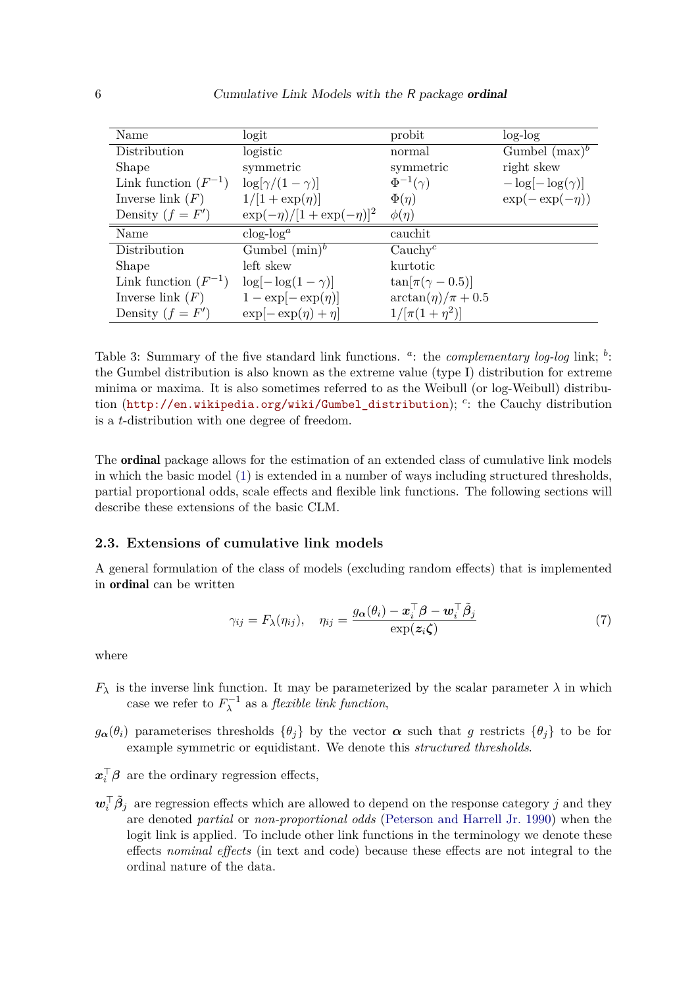| Name                     | logit                           | probit                    | $log-log$               |
|--------------------------|---------------------------------|---------------------------|-------------------------|
| Distribution             | logistic                        | normal                    | Gumbel $(\text{max})^b$ |
| Shape                    | symmetric                       | symmetric                 | right skew              |
| Link function $(F^{-1})$ | $\log[\gamma/(1-\gamma)]$       | $\Phi^{-1}(\gamma)$       | $-\log[-\log(\gamma)]$  |
| Inverse link $(F)$       | $1/[1 + \exp(\eta)]$            | $\Phi(\eta)$              | $\exp(-\exp(-\eta))$    |
| Density $(f = F')$       | $\exp(-\eta)/[1+\exp(-\eta)]^2$ | $\phi(\eta)$              |                         |
| Name                     | $\log$ - $\log$ <sup>a</sup>    | cauchit                   |                         |
| Distribution             | Gumbel $(\min)^b$               | Cauchy <sup>c</sup>       |                         |
| Shape                    | left skew                       | kurtotic                  |                         |
| Link function $(F^{-1})$ | $\log[-\log(1-\gamma)]$         | $\tan[\pi(\gamma - 0.5)]$ |                         |
| Inverse link $(F)$       | $1 - \exp[-\exp(\eta)]$         | $\arctan(\eta)/\pi + 0.5$ |                         |
| Density $(f = F')$       | $\exp[-\exp(\eta)+\eta]$        | $1/[\pi(1+\eta^2)]$       |                         |

<span id="page-5-0"></span>Table 3: Summary of the five standard link functions. <sup>a</sup>: the *complementary log-log* link; <sup>b</sup>: the Gumbel distribution is also known as the extreme value (type I) distribution for extreme minima or maxima. It is also sometimes referred to as the Weibull (or log-Weibull) distribution ([http://en.wikipedia.org/wiki/Gumbel\\_distribution](http://en.wikipedia.org/wiki/Gumbel_distribution)); *<sup>c</sup>* : the Cauchy distribution is a *t*-distribution with one degree of freedom.

The ordinal package allows for the estimation of an extended class of cumulative link models in which the basic model [\(1\)](#page-2-2) is extended in a number of ways including structured thresholds, partial proportional odds, scale effects and flexible link functions. The following sections will describe these extensions of the basic CLM.

#### **2.3. Extensions of cumulative link models**

A general formulation of the class of models (excluding random effects) that is implemented in ordinal can be written

$$
\gamma_{ij} = F_{\lambda}(\eta_{ij}), \quad \eta_{ij} = \frac{g_{\alpha}(\theta_i) - \boldsymbol{x}_i^{\top} \boldsymbol{\beta} - \boldsymbol{w}_i^{\top} \tilde{\boldsymbol{\beta}}_j}{\exp(\boldsymbol{z}_i \boldsymbol{\zeta})}
$$
(7)

where

- $F_{\lambda}$  is the inverse link function. It may be parameterized by the scalar parameter  $\lambda$  in which case we refer to  $F_{\lambda}^{-1}$  as a *flexible link function*,
- $g_{\alpha}(\theta_i)$  parameterises thresholds  $\{\theta_i\}$  by the vector  $\alpha$  such that *g* restricts  $\{\theta_i\}$  to be for example symmetric or equidistant. We denote this *structured thresholds*.
- $x_i^{\top} \beta$  are the ordinary regression effects,
- $w_i^\top \tilde{\beta}_j$  are regression effects which are allowed to depend on the response category *j* and they are denoted *partial* or *non-proportional odds* [\(Peterson and Harrell Jr. 1990\)](#page-38-7) when the logit link is applied. To include other link functions in the terminology we denote these effects *nominal effects* (in text and code) because these effects are not integral to the ordinal nature of the data.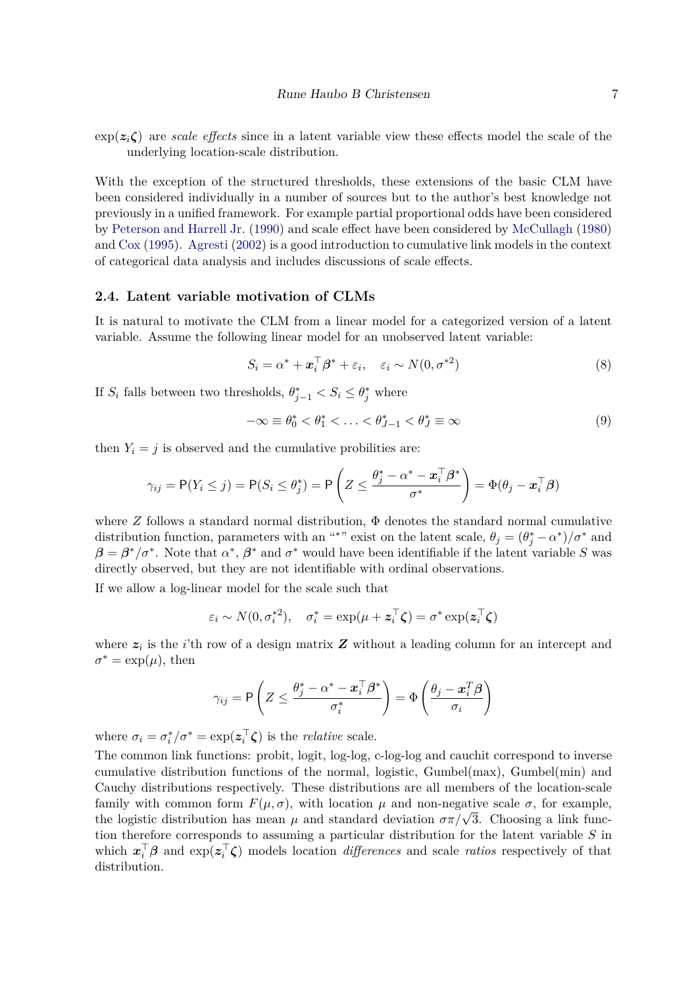$\exp(z_i\zeta)$  are *scale effects* since in a latent variable view these effects model the scale of the underlying location-scale distribution.

With the exception of the structured thresholds, these extensions of the basic CLM have been considered individually in a number of sources but to the author's best knowledge not previously in a unified framework. For example partial proportional odds have been considered by [Peterson and Harrell Jr.](#page-38-7) [\(1990\)](#page-38-7) and scale effect have been considered by [McCullagh](#page-38-2) [\(1980\)](#page-38-2) and [Cox](#page-38-8) [\(1995\)](#page-38-8). [Agresti](#page-37-0) [\(2002\)](#page-37-0) is a good introduction to cumulative link models in the context of categorical data analysis and includes discussions of scale effects.

#### <span id="page-6-0"></span>**2.4. Latent variable motivation of CLMs**

It is natural to motivate the CLM from a linear model for a categorized version of a latent variable. Assume the following linear model for an unobserved latent variable:

$$
S_i = \alpha^* + \boldsymbol{x}_i^{\top} \boldsymbol{\beta}^* + \varepsilon_i, \quad \varepsilon_i \sim N(0, \sigma^{*2})
$$
\n(8)

If  $S_i$  falls between two thresholds,  $\theta_{j-1}^* < S_i \leq \theta_j^*$  where

$$
-\infty \equiv \theta_0^* < \theta_1^* < \ldots < \theta_{J-1}^* < \theta_J^* \equiv \infty \tag{9}
$$

then  $Y_i = j$  is observed and the cumulative probilities are:

$$
\gamma_{ij} = \mathsf{P}(Y_i \leq j) = \mathsf{P}(S_i \leq \theta_j^*) = \mathsf{P}\left(Z \leq \frac{\theta_j^* - \alpha^* - \boldsymbol{x}_i^{\top}\boldsymbol{\beta}^*}{\sigma^*}\right) = \Phi(\theta_j - \boldsymbol{x}_i^{\top}\boldsymbol{\beta})
$$

where  $Z$  follows a standard normal distribution,  $\Phi$  denotes the standard normal cumulative distribution function, parameters with an "<sup>\*</sup>" exist on the latent scale,  $\theta_j = (\theta_j^* - \alpha^*)/\sigma^*$  and  $\beta = \beta^*/\sigma^*$ . Note that  $\alpha^*, \beta^*$  and  $\sigma^*$  would have been identifiable if the latent variable *S* was directly observed, but they are not identifiable with ordinal observations.

If we allow a log-linear model for the scale such that

$$
\varepsilon_i \sim N(0, \sigma_i^{*2}), \quad \sigma_i^* = \exp(\mu + \mathbf{z}_i^{\top} \boldsymbol{\zeta}) = \sigma^* \exp(\mathbf{z}_i^{\top} \boldsymbol{\zeta})
$$

where  $z_i$  is the *i*'th row of a design matrix  $Z$  without a leading column for an intercept and  $\sigma^* = \exp(\mu)$ , then

$$
\gamma_{ij} = \mathsf{P}\left(Z \leq \frac{\theta_j^* - \alpha^* - \boldsymbol{x}_i^\top\boldsymbol{\beta}^*}{\sigma_i^*}\right) = \Phi\left(\frac{\theta_j - \boldsymbol{x}_i^T\boldsymbol{\beta}}{\sigma_i}\right)
$$

where  $\sigma_i = \sigma_i^*$  $i^*/\sigma^* = \exp(z_i^{\top})$  $\mathbf{z}_i^{\dagger}$   $\boldsymbol{\zeta}$  is the *relative* scale.

The common link functions: probit, logit, log-log, c-log-log and cauchit correspond to inverse cumulative distribution functions of the normal, logistic, Gumbel(max), Gumbel(min) and Cauchy distributions respectively. These distributions are all members of the location-scale family with common form  $F(\mu, \sigma)$ , with location  $\mu$  and non-negative scale  $\sigma$ , for example, the logistic distribution has mean  $\mu$  and standard deviation  $\sigma \pi / \sqrt{3}$ . Choosing a link function therefore corresponds to assuming a particular distribution for the latent variable *S* in which  $\boldsymbol{x}_i^{\top} \boldsymbol{\beta}$  and  $\exp(\boldsymbol{z}_i^{\top}$ *i ζ*) models location *differences* and scale *ratios* respectively of that distribution.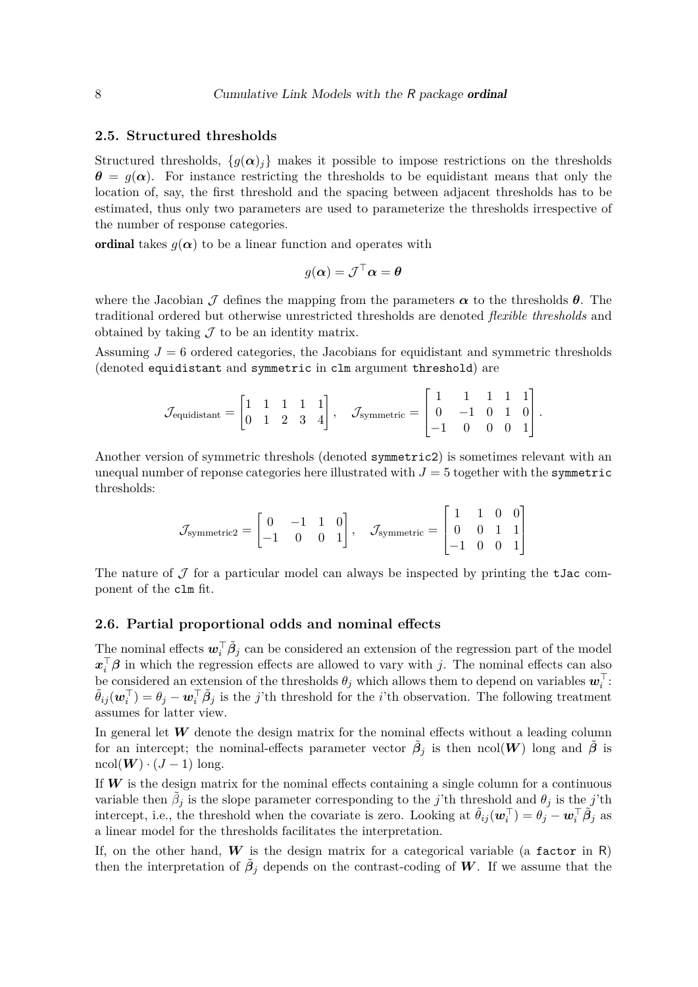#### **2.5. Structured thresholds**

Structured thresholds,  $\{g(\alpha)_i\}$  makes it possible to impose restrictions on the thresholds  $\theta = g(\alpha)$ . For instance restricting the thresholds to be equidistant means that only the location of, say, the first threshold and the spacing between adjacent thresholds has to be estimated, thus only two parameters are used to parameterize the thresholds irrespective of the number of response categories.

ordinal takes  $g(\alpha)$  to be a linear function and operates with

$$
g(\pmb{\alpha}) = \mathcal{J}^\top \pmb{\alpha} = \pmb{\theta}
$$

where the Jacobian  $\mathcal J$  defines the mapping from the parameters  $\alpha$  to the thresholds  $\theta$ . The traditional ordered but otherwise unrestricted thresholds are denoted *flexible thresholds* and obtained by taking  $\mathcal J$  to be an identity matrix.

Assuming  $J = 6$  ordered categories, the Jacobians for equidistant and symmetric thresholds (denoted equidistant and symmetric in clm argument threshold) are

$$
\mathcal{J}_{\text{equidistant}} = \begin{bmatrix} 1 & 1 & 1 & 1 & 1 \\ 0 & 1 & 2 & 3 & 4 \end{bmatrix}, \quad \mathcal{J}_{\text{symmetric}} = \begin{bmatrix} 1 & 1 & 1 & 1 & 1 \\ 0 & -1 & 0 & 1 & 0 \\ -1 & 0 & 0 & 0 & 1 \end{bmatrix}.
$$

Another version of symmetric threshols (denoted symmetric2) is sometimes relevant with an unequal number of reponse categories here illustrated with  $J = 5$  together with the symmetric thresholds:

$$
\mathcal{J}_{\text{symmetric2}} = \begin{bmatrix} 0 & -1 & 1 & 0 \\ -1 & 0 & 0 & 1 \end{bmatrix}, \quad \mathcal{J}_{\text{symmetric}} = \begin{bmatrix} 1 & 1 & 0 & 0 \\ 0 & 0 & 1 & 1 \\ -1 & 0 & 0 & 1 \end{bmatrix}
$$

The nature of  $\mathcal J$  for a particular model can always be inspected by printing the tJac component of the clm fit.

#### **2.6. Partial proportional odds and nominal effects**

The nominal effects  $w_i^{\top} \tilde{\beta}_j$  can be considered an extension of the regression part of the model  $x_i^{\top} \beta$  in which the regression effects are allowed to vary with *j*. The nominal effects can also be considered an extension of the thresholds  $\theta_j$  which allows them to depend on variables  $w_i^{\top}$ :  $\tilde{\theta}_{ij}(\boldsymbol{w}_i^{\top}) = \theta_j - \boldsymbol{w}_i^{\top} \tilde{\beta}_j$  is the *j*'th threshold for the *i*'th observation. The following treatment assumes for latter view.

In general let **W** denote the design matrix for the nominal effects without a leading column for an intercept; the nominal-effects parameter vector  $\tilde{\beta}_j$  is then ncol(*W*) long and  $\tilde{\beta}$  is  $\text{ncol}(\boldsymbol{W}) \cdot (J-1)$  long.

If  $W$  is the design matrix for the nominal effects containing a single column for a continuous variable then  $\tilde{\beta}_j$  is the slope parameter corresponding to the *j*'th threshold and  $\theta_j$  is the *j*'th intercept, i.e., the threshold when the covariate is zero. Looking at  $\tilde{\theta}_{ij}(\boldsymbol{w}_i^{\top}) = \theta_j - \boldsymbol{w}_i^{\top} \tilde{\beta}_j$  as a linear model for the thresholds facilitates the interpretation.

If, on the other hand,  $W$  is the design matrix for a categorical variable (a factor in R) then the interpretation of  $\tilde{\beta}_j$  depends on the contrast-coding of W. If we assume that the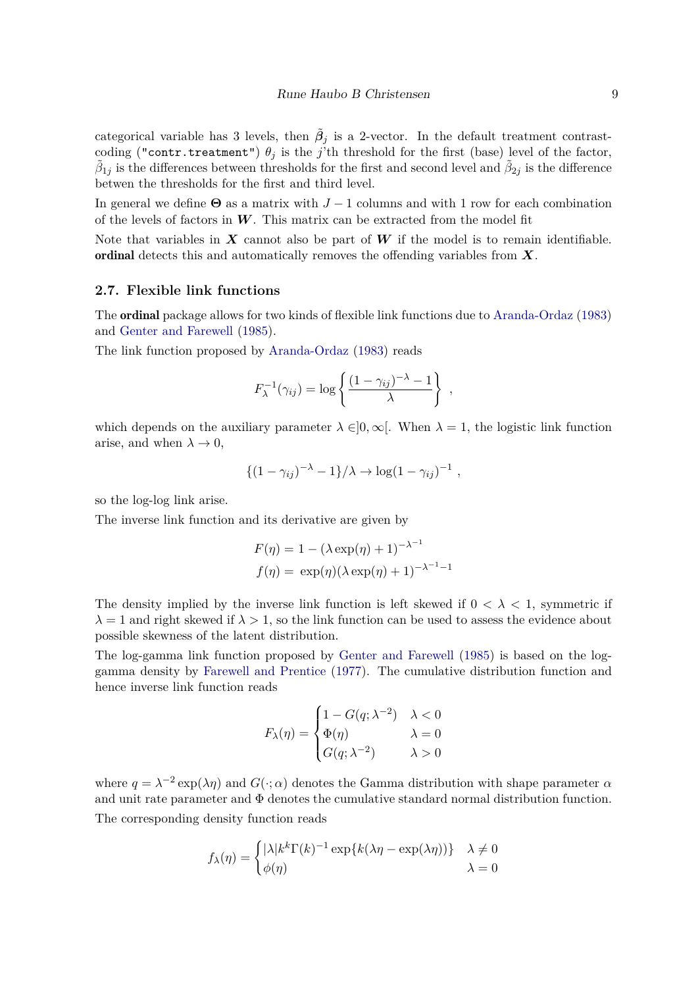categorical variable has 3 levels, then  $\tilde{\beta}_j$  is a 2-vector. In the default treatment contrastcoding ("contr.treatment")  $\theta_j$  is the *j*'th threshold for the first (base) level of the factor,  $\tilde{\beta}_{1j}$  is the differences between thresholds for the first and second level and  $\tilde{\beta}_{2j}$  is the difference betwen the thresholds for the first and third level.

In general we define  $\Theta$  as a matrix with  $J-1$  columns and with 1 row for each combination of the levels of factors in *W*. This matrix can be extracted from the model fit

Note that variables in  $X$  cannot also be part of  $W$  if the model is to remain identifiable. ordinal detects this and automatically removes the offending variables from *X*.

#### **2.7. Flexible link functions**

The ordinal package allows for two kinds of flexible link functions due to [Aranda-Ordaz](#page-37-3) [\(1983\)](#page-37-3) and [Genter and Farewell](#page-38-9) [\(1985\)](#page-38-9).

The link function proposed by [Aranda-Ordaz](#page-37-3) [\(1983\)](#page-37-3) reads

$$
F_{\lambda}^{-1}(\gamma_{ij}) = \log \left\{ \frac{(1 - \gamma_{ij})^{-\lambda} - 1}{\lambda} \right\},\,
$$

which depends on the auxiliary parameter  $\lambda \in ]0,\infty[$ . When  $\lambda = 1$ , the logistic link function arise, and when  $\lambda \to 0$ ,

$$
\{(1-\gamma_{ij})^{-\lambda}-1\}/\lambda \to \log(1-\gamma_{ij})^{-1} ,
$$

so the log-log link arise.

The inverse link function and its derivative are given by

$$
F(\eta) = 1 - (\lambda \exp(\eta) + 1)^{-\lambda^{-1}}
$$

$$
f(\eta) = \exp(\eta)(\lambda \exp(\eta) + 1)^{-\lambda^{-1} - 1}
$$

The density implied by the inverse link function is left skewed if  $0 < \lambda < 1$ , symmetric if  $\lambda = 1$  and right skewed if  $\lambda > 1$ , so the link function can be used to assess the evidence about possible skewness of the latent distribution.

The log-gamma link function proposed by [Genter and Farewell](#page-38-9) [\(1985\)](#page-38-9) is based on the loggamma density by [Farewell and Prentice](#page-38-10) [\(1977\)](#page-38-10). The cumulative distribution function and hence inverse link function reads

$$
F_{\lambda}(\eta) = \begin{cases} 1 - G(q; \lambda^{-2}) & \lambda < 0 \\ \Phi(\eta) & \lambda = 0 \\ G(q; \lambda^{-2}) & \lambda > 0 \end{cases}
$$

where  $q = \lambda^{-2} \exp(\lambda \eta)$  and  $G(\cdot; \alpha)$  denotes the Gamma distribution with shape parameter  $\alpha$ and unit rate parameter and  $\Phi$  denotes the cumulative standard normal distribution function. The corresponding density function reads

$$
f_{\lambda}(\eta) = \begin{cases} |\lambda|k^{k}\Gamma(k)^{-1} \exp{k(\lambda\eta - \exp(\lambda\eta))} & \lambda \neq 0 \\ \phi(\eta) & \lambda = 0 \end{cases}
$$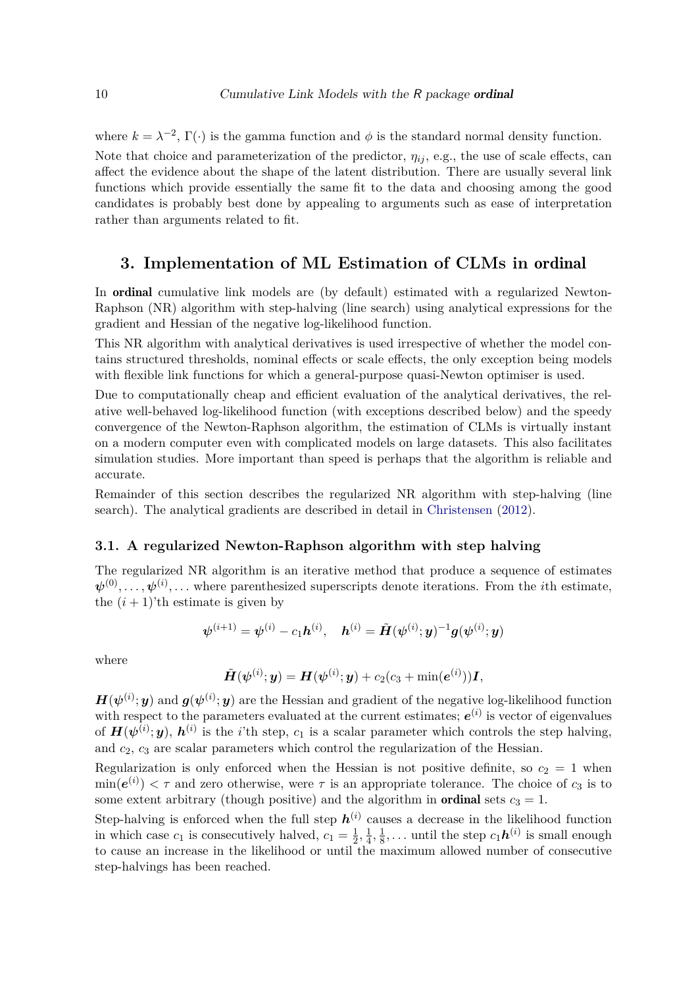where  $k = \lambda^{-2}$ ,  $\Gamma(\cdot)$  is the gamma function and  $\phi$  is the standard normal density function. Note that choice and parameterization of the predictor,  $\eta_{ij}$ , e.g., the use of scale effects, can affect the evidence about the shape of the latent distribution. There are usually several link functions which provide essentially the same fit to the data and choosing among the good candidates is probably best done by appealing to arguments such as ease of interpretation rather than arguments related to fit.

# **3. Implementation of ML Estimation of CLMs in** ordinal

In ordinal cumulative link models are (by default) estimated with a regularized Newton-Raphson (NR) algorithm with step-halving (line search) using analytical expressions for the gradient and Hessian of the negative log-likelihood function.

This NR algorithm with analytical derivatives is used irrespective of whether the model contains structured thresholds, nominal effects or scale effects, the only exception being models with flexible link functions for which a general-purpose quasi-Newton optimiser is used.

Due to computationally cheap and efficient evaluation of the analytical derivatives, the relative well-behaved log-likelihood function (with exceptions described below) and the speedy convergence of the Newton-Raphson algorithm, the estimation of CLMs is virtually instant on a modern computer even with complicated models on large datasets. This also facilitates simulation studies. More important than speed is perhaps that the algorithm is reliable and accurate.

Remainder of this section describes the regularized NR algorithm with step-halving (line search). The analytical gradients are described in detail in [Christensen](#page-38-11) [\(2012\)](#page-38-11).

#### <span id="page-9-0"></span>**3.1. A regularized Newton-Raphson algorithm with step halving**

The regularized NR algorithm is an iterative method that produce a sequence of estimates  $\psi^{(0)}, \ldots, \psi^{(i)}, \ldots$  where parenthesized superscripts denote iterations. From the *i*th estimate, the  $(i + 1)$ 'th estimate is given by

$$
\boldsymbol{\psi}^{(i+1)} = \boldsymbol{\psi}^{(i)} - c_1 \boldsymbol{h}^{(i)}, \quad \boldsymbol{h}^{(i)} = \tilde{\boldsymbol{H}}(\boldsymbol{\psi}^{(i)}; \boldsymbol{y})^{-1} \boldsymbol{g}(\boldsymbol{\psi}^{(i)}; \boldsymbol{y})
$$

where

$$
\tilde{\boldsymbol{H}}(\boldsymbol{\psi}^{(i)};\boldsymbol{y})=\boldsymbol{H}(\boldsymbol{\psi}^{(i)};\boldsymbol{y})+c_2(c_3+\textrm{min}(\boldsymbol{e}^{(i)}))\boldsymbol{I},
$$

 $H(\psi^{(i)}; y)$  and  $g(\psi^{(i)}; y)$  are the Hessian and gradient of the negative log-likelihood function with respect to the parameters evaluated at the current estimates;  $e^{(i)}$  is vector of eigenvalues of  $H(\psi^{(i)}; y)$ ,  $h^{(i)}$  is the *i*'th step,  $c_1$  is a scalar parameter which controls the step halving, and *c*2, *c*<sup>3</sup> are scalar parameters which control the regularization of the Hessian.

Regularization is only enforced when the Hessian is not positive definite, so  $c_2 = 1$  when  $\min(e^{(i)}) < \tau$  and zero otherwise, were  $\tau$  is an appropriate tolerance. The choice of  $c_3$  is to some extent arbitrary (though positive) and the algorithm in **ordinal** sets  $c_3 = 1$ .

Step-halving is enforced when the full step  $h^{(i)}$  causes a decrease in the likelihood function in which case  $c_1$  is consecutively halved,  $c_1 = \frac{1}{2}$  $\frac{1}{2}, \frac{1}{4}$  $\frac{1}{4}, \frac{1}{8}$  $\frac{1}{8}$ ,... until the step  $c_1 h^{(i)}$  is small enough to cause an increase in the likelihood or until the maximum allowed number of consecutive step-halvings has been reached.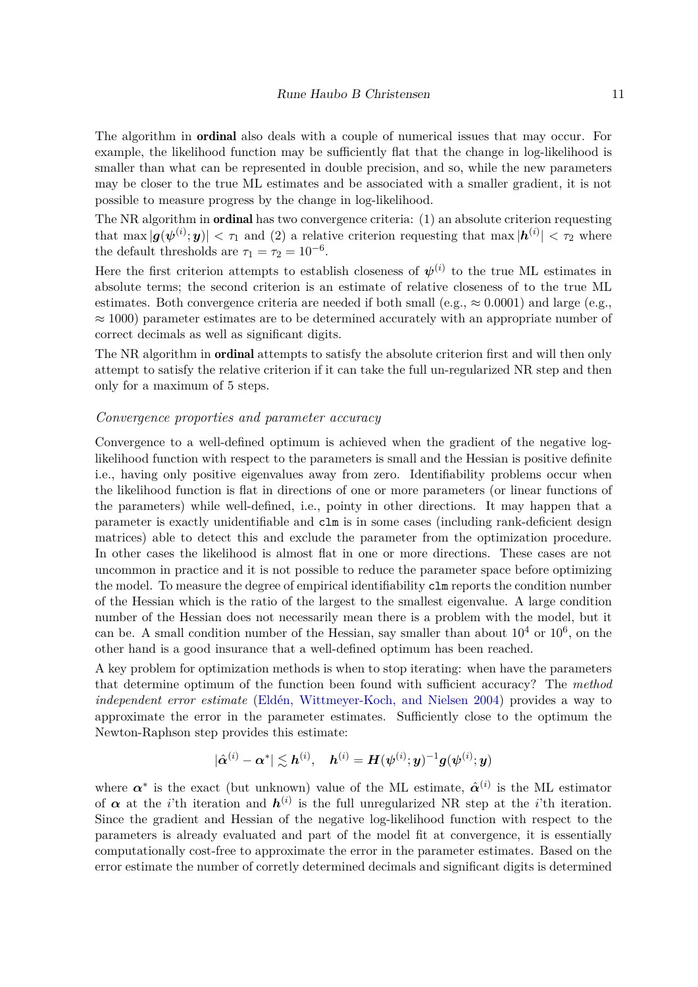The algorithm in ordinal also deals with a couple of numerical issues that may occur. For example, the likelihood function may be sufficiently flat that the change in log-likelihood is smaller than what can be represented in double precision, and so, while the new parameters may be closer to the true ML estimates and be associated with a smaller gradient, it is not possible to measure progress by the change in log-likelihood.

The NR algorithm in ordinal has two convergence criteria: (1) an absolute criterion requesting that  $\max |\mathbf{g}(\boldsymbol{\psi}^{(i)}; \mathbf{y})| < \tau_1$  and (2) a relative criterion requesting that  $\max |\mathbf{h}^{(i)}| < \tau_2$  where the default thresholds are  $\tau_1 = \tau_2 = 10^{-6}$ .

Here the first criterion attempts to establish closeness of  $\psi^{(i)}$  to the true ML estimates in absolute terms; the second criterion is an estimate of relative closeness of to the true ML estimates. Both convergence criteria are needed if both small (e.g.,  $\approx 0.0001$ ) and large (e.g.,  $\approx 1000$ ) parameter estimates are to be determined accurately with an appropriate number of correct decimals as well as significant digits.

The NR algorithm in **ordinal** attempts to satisfy the absolute criterion first and will then only attempt to satisfy the relative criterion if it can take the full un-regularized NR step and then only for a maximum of 5 steps.

#### *Convergence proporties and parameter accuracy*

Convergence to a well-defined optimum is achieved when the gradient of the negative loglikelihood function with respect to the parameters is small and the Hessian is positive definite i.e., having only positive eigenvalues away from zero. Identifiability problems occur when the likelihood function is flat in directions of one or more parameters (or linear functions of the parameters) while well-defined, i.e., pointy in other directions. It may happen that a parameter is exactly unidentifiable and clm is in some cases (including rank-deficient design matrices) able to detect this and exclude the parameter from the optimization procedure. In other cases the likelihood is almost flat in one or more directions. These cases are not uncommon in practice and it is not possible to reduce the parameter space before optimizing the model. To measure the degree of empirical identifiability clm reports the condition number of the Hessian which is the ratio of the largest to the smallest eigenvalue. A large condition number of the Hessian does not necessarily mean there is a problem with the model, but it can be. A small condition number of the Hessian, say smaller than about  $10^4$  or  $10^6$ , on the other hand is a good insurance that a well-defined optimum has been reached.

A key problem for optimization methods is when to stop iterating: when have the parameters that determine optimum of the function been found with sufficient accuracy? The *method independent error estimate* [\(Eldén, Wittmeyer-Koch, and Nielsen 2004\)](#page-38-12) provides a way to approximate the error in the parameter estimates. Sufficiently close to the optimum the Newton-Raphson step provides this estimate:

$$
|\hat{\bm{\alpha}}^{(i)} - \bm{\alpha}^*| \lesssim \bm{h}^{(i)}, \quad \bm{h}^{(i)} = \bm{H}(\bm{\psi}^{(i)}; \bm{y})^{-1}\bm{g}(\bm{\psi}^{(i)}; \bm{y})
$$

where  $\alpha^*$  is the exact (but unknown) value of the ML estimate,  $\hat{\alpha}^{(i)}$  is the ML estimator of  $\alpha$  at the *i*'th iteration and  $h^{(i)}$  is the full unregularized NR step at the *i*'th iteration. Since the gradient and Hessian of the negative log-likelihood function with respect to the parameters is already evaluated and part of the model fit at convergence, it is essentially computationally cost-free to approximate the error in the parameter estimates. Based on the error estimate the number of corretly determined decimals and significant digits is determined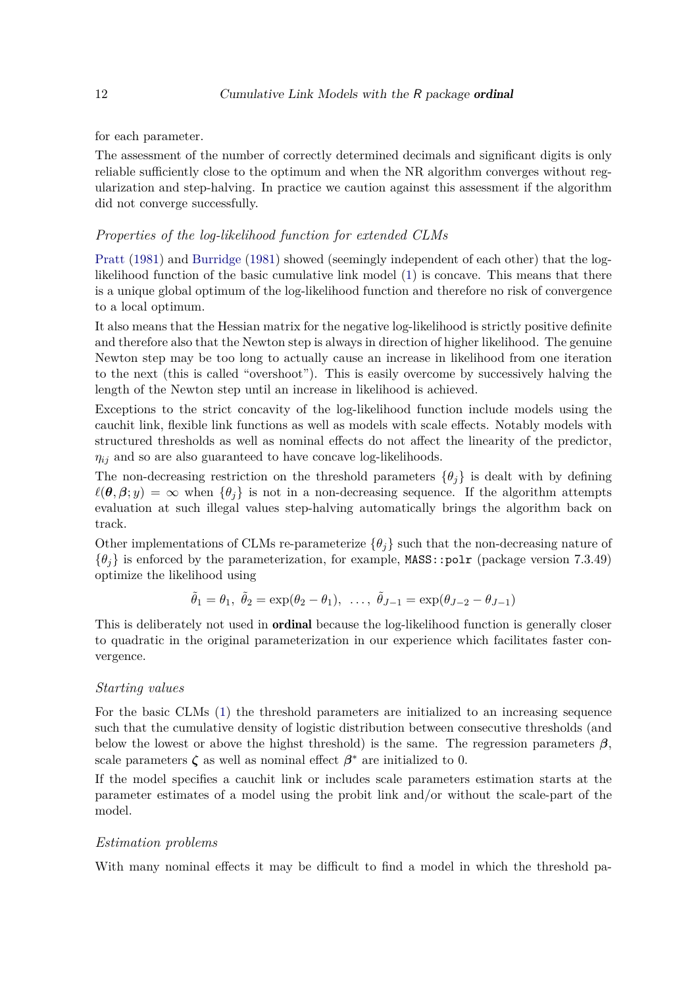for each parameter.

The assessment of the number of correctly determined decimals and significant digits is only reliable sufficiently close to the optimum and when the NR algorithm converges without regularization and step-halving. In practice we caution against this assessment if the algorithm did not converge successfully.

#### *Properties of the log-likelihood function for extended CLMs*

[Pratt](#page-38-13) [\(1981\)](#page-38-13) and [Burridge](#page-37-4) [\(1981\)](#page-37-4) showed (seemingly independent of each other) that the loglikelihood function of the basic cumulative link model [\(1\)](#page-2-2) is concave. This means that there is a unique global optimum of the log-likelihood function and therefore no risk of convergence to a local optimum.

It also means that the Hessian matrix for the negative log-likelihood is strictly positive definite and therefore also that the Newton step is always in direction of higher likelihood. The genuine Newton step may be too long to actually cause an increase in likelihood from one iteration to the next (this is called "overshoot"). This is easily overcome by successively halving the length of the Newton step until an increase in likelihood is achieved.

Exceptions to the strict concavity of the log-likelihood function include models using the cauchit link, flexible link functions as well as models with scale effects. Notably models with structured thresholds as well as nominal effects do not affect the linearity of the predictor,  $\eta_{ij}$  and so are also guaranteed to have concave log-likelihoods.

The non-decreasing restriction on the threshold parameters  $\{\theta_i\}$  is dealt with by defining  $\ell(\theta, \beta; y) = \infty$  when  $\{\theta_i\}$  is not in a non-decreasing sequence. If the algorithm attempts evaluation at such illegal values step-halving automatically brings the algorithm back on track.

Other implementations of CLMs re-parameterize  $\{\theta_i\}$  such that the non-decreasing nature of  $\{\theta_i\}$  is enforced by the parameterization, for example, MASS::polr (package version 7.3.49) optimize the likelihood using

$$
\tilde{\theta}_1 = \theta_1, \ \tilde{\theta}_2 = \exp(\theta_2 - \theta_1), \ \ldots, \ \tilde{\theta}_{J-1} = \exp(\theta_{J-2} - \theta_{J-1})
$$

This is deliberately not used in **ordinal** because the log-likelihood function is generally closer to quadratic in the original parameterization in our experience which facilitates faster convergence.

#### *Starting values*

For the basic CLMs [\(1\)](#page-2-2) the threshold parameters are initialized to an increasing sequence such that the cumulative density of logistic distribution between consecutive thresholds (and below the lowest or above the highst threshold) is the same. The regression parameters  $\beta$ , scale parameters  $\zeta$  as well as nominal effect  $\beta^*$  are initialized to 0.

If the model specifies a cauchit link or includes scale parameters estimation starts at the parameter estimates of a model using the probit link and/or without the scale-part of the model.

## *Estimation problems*

With many nominal effects it may be difficult to find a model in which the threshold pa-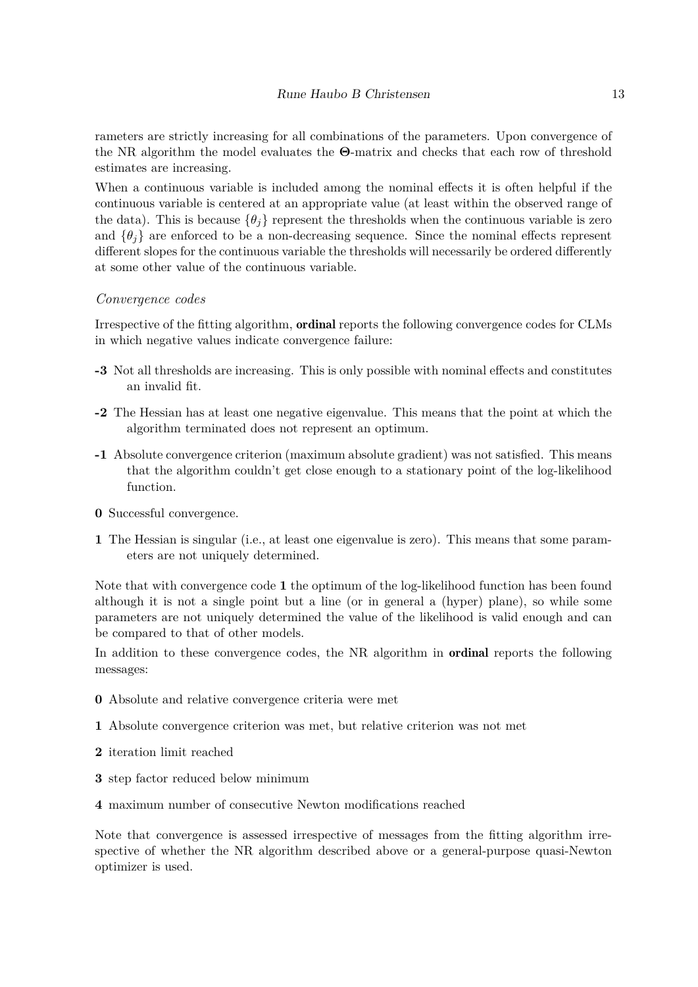rameters are strictly increasing for all combinations of the parameters. Upon convergence of the NR algorithm the model evaluates the **Θ**-matrix and checks that each row of threshold estimates are increasing.

When a continuous variable is included among the nominal effects it is often helpful if the continuous variable is centered at an appropriate value (at least within the observed range of the data). This is because  $\{\theta_i\}$  represent the thresholds when the continuous variable is zero and  $\{\theta_i\}$  are enforced to be a non-decreasing sequence. Since the nominal effects represent different slopes for the continuous variable the thresholds will necessarily be ordered differently at some other value of the continuous variable.

#### *Convergence codes*

Irrespective of the fitting algorithm, ordinal reports the following convergence codes for CLMs in which negative values indicate convergence failure:

- **-3** Not all thresholds are increasing. This is only possible with nominal effects and constitutes an invalid fit.
- **-2** The Hessian has at least one negative eigenvalue. This means that the point at which the algorithm terminated does not represent an optimum.
- **-1** Absolute convergence criterion (maximum absolute gradient) was not satisfied. This means that the algorithm couldn't get close enough to a stationary point of the log-likelihood function.
- **0** Successful convergence.
- **1** The Hessian is singular (i.e., at least one eigenvalue is zero). This means that some parameters are not uniquely determined.

Note that with convergence code **1** the optimum of the log-likelihood function has been found although it is not a single point but a line (or in general a (hyper) plane), so while some parameters are not uniquely determined the value of the likelihood is valid enough and can be compared to that of other models.

In addition to these convergence codes, the NR algorithm in **ordinal** reports the following messages:

- **0** Absolute and relative convergence criteria were met
- **1** Absolute convergence criterion was met, but relative criterion was not met
- **2** iteration limit reached
- **3** step factor reduced below minimum
- **4** maximum number of consecutive Newton modifications reached

Note that convergence is assessed irrespective of messages from the fitting algorithm irrespective of whether the NR algorithm described above or a general-purpose quasi-Newton optimizer is used.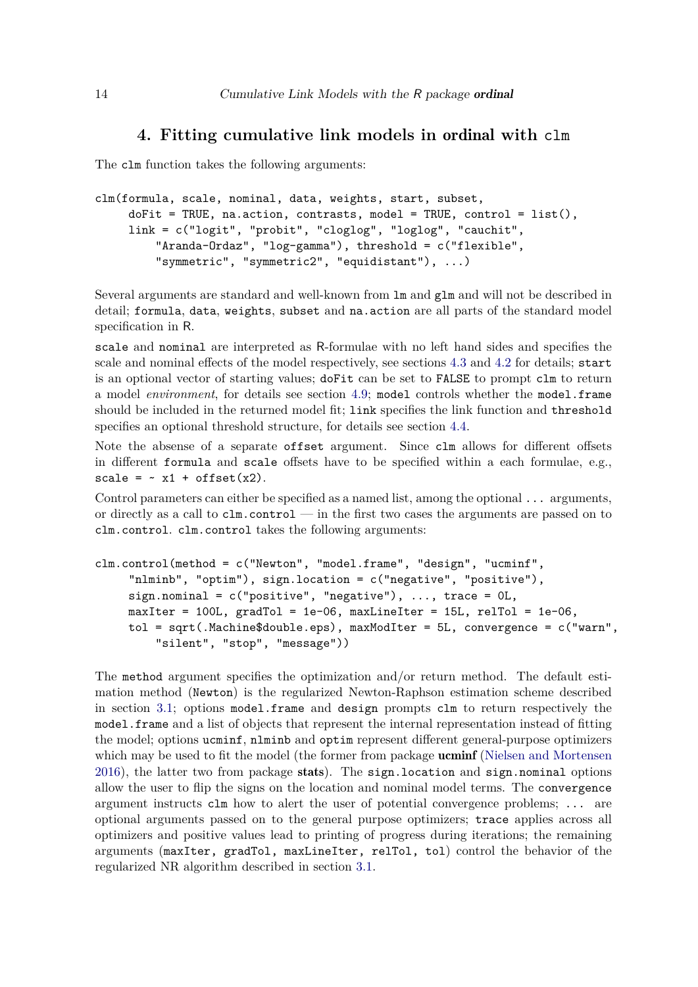## **4. Fitting cumulative link models in** ordinal **with** clm

The clm function takes the following arguments:

```
clm(formula, scale, nominal, data, weights, start, subset,
    dofit = TRUE, na.action, contrasts, model = TRUE, control = list(),link = c("logit", "probit", "cloglog", "loglog", "cauchit",
         "Aranda-Ordaz", "log-gamma"), threshold = c("flexible",
         "symmetric", "symmetric2", "equidistant"), ...)
```
Several arguments are standard and well-known from lm and glm and will not be described in detail; formula, data, weights, subset and na.action are all parts of the standard model specification in R.

scale and nominal are interpreted as R-formulae with no left hand sides and specifies the scale and nominal effects of the model respectively, see sections [4.3](#page-21-0) and [4.2](#page-17-0) for details; start is an optional vector of starting values; doFit can be set to FALSE to prompt clm to return a model *environment*, for details see section [4.9;](#page-34-0) model controls whether the model.frame should be included in the returned model fit; link specifies the link function and threshold specifies an optional threshold structure, for details see section [4.4.](#page-22-0)

Note the absense of a separate offset argument. Since clm allows for different offsets in different formula and scale offsets have to be specified within a each formulae, e.g., scale =  $\sim x1 + \text{offset}(x2)$ .

Control parameters can either be specified as a named list, among the optional ... arguments, or directly as a call to clm.control — in the first two cases the arguments are passed on to clm.control. clm.control takes the following arguments:

```
clm.control(method = c("Newton", "model.frame", "design", "ucminf",
     "nlminb", "optim"), sign.location = c("negative", "positive"),
    sign.nominal = c("positive", "negative"), ..., trace = 0L,maxIter = 100L, gradTol = 1e-06, maxLineIter = 15L, relTol = 1e-06,
    tol = sqrt(.Machine\double.eps), maxModIter = 5L, convergence = c("warn",
         "silent", "stop", "message"))
```
The method argument specifies the optimization and/or return method. The default estimation method (Newton) is the regularized Newton-Raphson estimation scheme described in section [3.1;](#page-9-0) options model.frame and design prompts clm to return respectively the model.frame and a list of objects that represent the internal representation instead of fitting the model; options ucminf, nlminb and optim represent different general-purpose optimizers which may be used to fit the model (the former from package **ucminf** [\(Nielsen and Mortensen](#page-38-14) [2016\)](#page-38-14), the latter two from package stats). The sign.location and sign.nominal options allow the user to flip the signs on the location and nominal model terms. The convergence argument instructs clm how to alert the user of potential convergence problems; ... are optional arguments passed on to the general purpose optimizers; trace applies across all optimizers and positive values lead to printing of progress during iterations; the remaining arguments (maxIter, gradTol, maxLineIter, relTol, tol) control the behavior of the regularized NR algorithm described in section [3.1.](#page-9-0)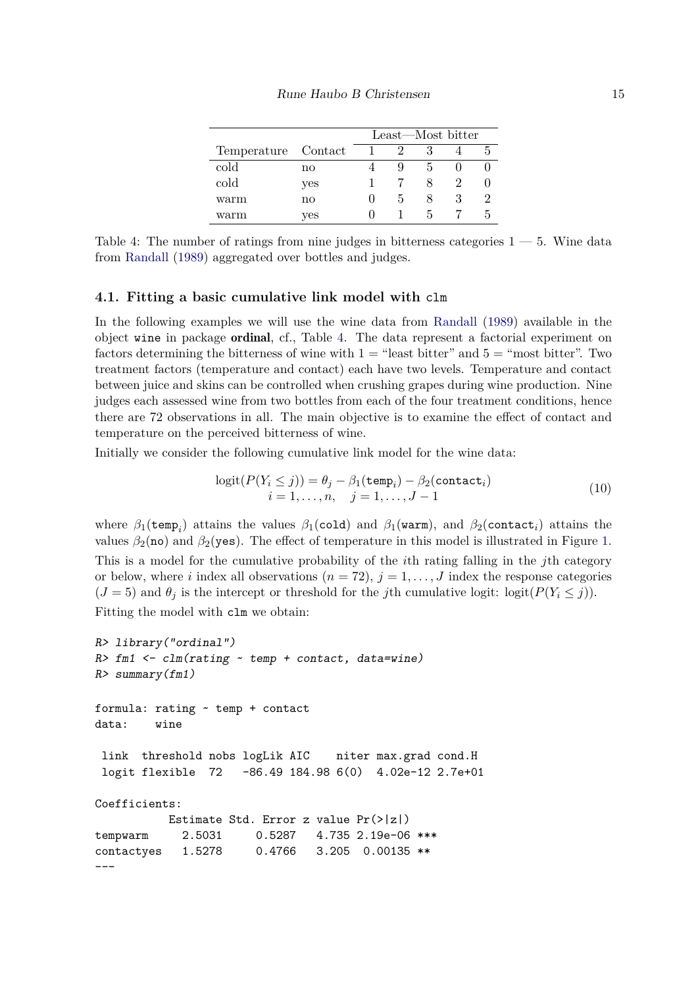|                     |     | Least—Most bitter |    |  |  |  |
|---------------------|-----|-------------------|----|--|--|--|
| Temperature Contact |     |                   |    |  |  |  |
| cold                | no  |                   |    |  |  |  |
| cold                | yes |                   |    |  |  |  |
| warm                | no  |                   | h. |  |  |  |
| warm                | yes |                   |    |  |  |  |

<span id="page-14-0"></span>Table 4: The number of ratings from nine judges in bitterness categories  $1 - 5$ . Wine data from [Randall](#page-39-6) [\(1989\)](#page-39-6) aggregated over bottles and judges.

#### <span id="page-14-2"></span>**4.1. Fitting a basic cumulative link model with** clm

In the following examples we will use the wine data from [Randall](#page-39-6) [\(1989\)](#page-39-6) available in the object wine in package ordinal, cf., Table [4.](#page-14-0) The data represent a factorial experiment on factors determining the bitterness of wine with  $1 =$  "least bitter" and  $5 =$  "most bitter". Two treatment factors (temperature and contact) each have two levels. Temperature and contact between juice and skins can be controlled when crushing grapes during wine production. Nine judges each assessed wine from two bottles from each of the four treatment conditions, hence there are 72 observations in all. The main objective is to examine the effect of contact and temperature on the perceived bitterness of wine.

Initially we consider the following cumulative link model for the wine data:

<span id="page-14-1"></span>
$$
logit(P(Y_i \le j)) = \theta_j - \beta_1(\text{temp}_i) - \beta_2(\text{contact}_i)
$$
  

$$
i = 1, ..., n, \quad j = 1, ..., J - 1
$$
 (10)

where  $\beta_1$ (temp<sub>i</sub>) attains the values  $\beta_1$ (cold) and  $\beta_1$ (warm), and  $\beta_2$ (contact<sub>i</sub>) attains the values  $\beta_2$ (no) and  $\beta_2$ (yes). The effect of temperature in this model is illustrated in Figure [1.](#page-16-0) This is a model for the cumulative probability of the *i*th rating falling in the *j*th category or below, where *i* index all observations  $(n = 72), j = 1, \ldots, J$  index the response categories  $(J = 5)$  and  $\theta_j$  is the intercept or threshold for the *j*th cumulative logit: logit( $P(Y_i \leq j)$ ). Fitting the model with clm we obtain:

```
R> library("ordinal")
R> fm1 <- clm(rating ~ temp + contact, data=wine)
R> summary(fm1)
formula: rating ~ temp + contact
data: wine
link threshold nobs logLik AIC niter max.grad cond.H
logit flexible 72 -86.49 184.98 6(0) 4.02e-12 2.7e+01
Coefficients:
          Estimate Std. Error z value Pr(>|z|)
tempwarm 2.5031 0.5287 4.735 2.19e-06 ***
contactyes 1.5278 0.4766 3.205 0.00135 **
---
```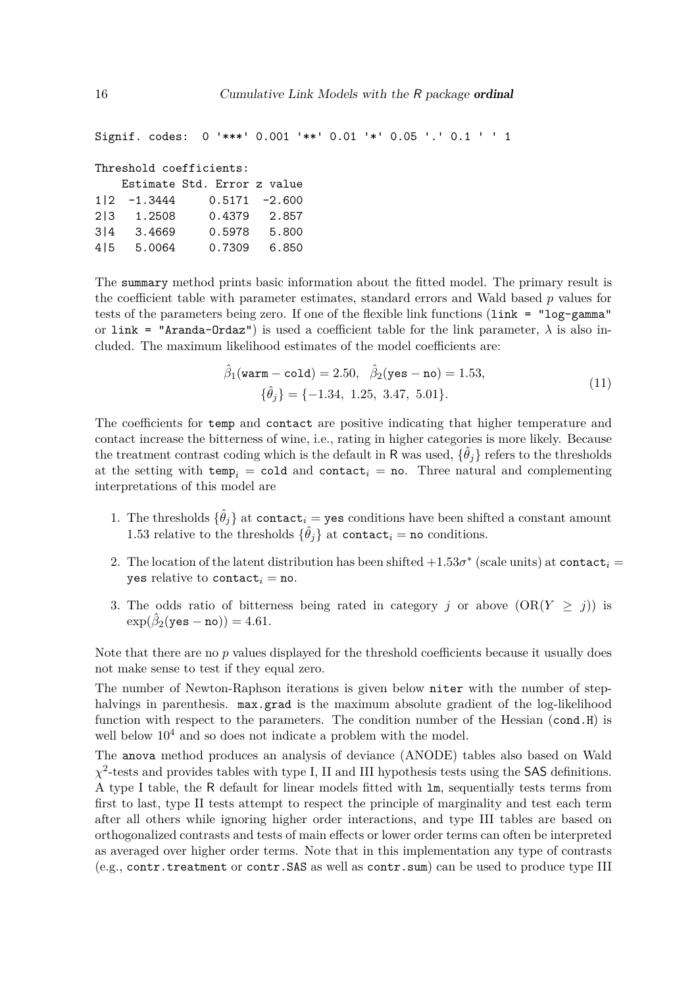```
Signif. codes: 0 '***' 0.001 '**' 0.01 '*' 0.05 '.' 0.1 ' ' 1
```

```
Threshold coefficients:
```

|      |           | Estimate Std. Error z value |                  |
|------|-----------|-----------------------------|------------------|
| 112. | $-1.3444$ |                             | $0.5171 - 2.600$ |
| 213  | 1.2508    | 0.4379                      | 2.857            |
| 3 4  | 3.4669    | 0.5978                      | 5.800            |
| 415  | 5.0064    | 0.7309                      | 6.850            |

The summary method prints basic information about the fitted model. The primary result is the coefficient table with parameter estimates, standard errors and Wald based *p* values for tests of the parameters being zero. If one of the flexible link functions (link = "log-gamma" or link = "Aranda-Ordaz") is used a coefficient table for the link parameter,  $\lambda$  is also included. The maximum likelihood estimates of the model coefficients are:

$$
\hat{\beta}_1(\text{warm} - \text{cold}) = 2.50, \quad \hat{\beta}_2(\text{yes} - \text{no}) = 1.53, \{\hat{\theta}_j\} = \{-1.34, 1.25, 3.47, 5.01\}.
$$
\n(11)

The coefficients for temp and contact are positive indicating that higher temperature and contact increase the bitterness of wine, i.e., rating in higher categories is more likely. Because the treatment contrast coding which is the default in R was used,  $\{\hat{\theta}_j\}$  refers to the thresholds at the setting with  $temp<sub>i</sub> = cold$  and contact<sub>i</sub> = no. Three natural and complementing interpretations of this model are

- 1. The thresholds  $\{\hat{\theta}_j\}$  at contact<sub>i</sub> = yes conditions have been shifted a constant amount 1.53 relative to the thresholds  $\{\hat{\theta}_j\}$  at contact<sub>*i*</sub> = no conditions.
- 2. The location of the latent distribution has been shifted  $+1.53\sigma^*$  (scale units) at contact<sub>i</sub> = yes relative to contact<sub>i</sub> = no.
- 3. The odds ratio of bitterness being rated in category *j* or above  $(OR(Y \geq j))$  is  $\exp(\hat{\beta}_2(\texttt{yes} - \texttt{no})) = 4.61.$

Note that there are no *p* values displayed for the threshold coefficients because it usually does not make sense to test if they equal zero.

The number of Newton-Raphson iterations is given below niter with the number of stephalvings in parenthesis. max.grad is the maximum absolute gradient of the log-likelihood function with respect to the parameters. The condition number of the Hessian (cond.H) is well below  $10<sup>4</sup>$  and so does not indicate a problem with the model.

The anova method produces an analysis of deviance (ANODE) tables also based on Wald  $\chi^2$ -tests and provides tables with type I, II and III hypothesis tests using the SAS definitions. A type I table, the R default for linear models fitted with lm, sequentially tests terms from first to last, type II tests attempt to respect the principle of marginality and test each term after all others while ignoring higher order interactions, and type III tables are based on orthogonalized contrasts and tests of main effects or lower order terms can often be interpreted as averaged over higher order terms. Note that in this implementation any type of contrasts (e.g., contr.treatment or contr.SAS as well as contr.sum) can be used to produce type III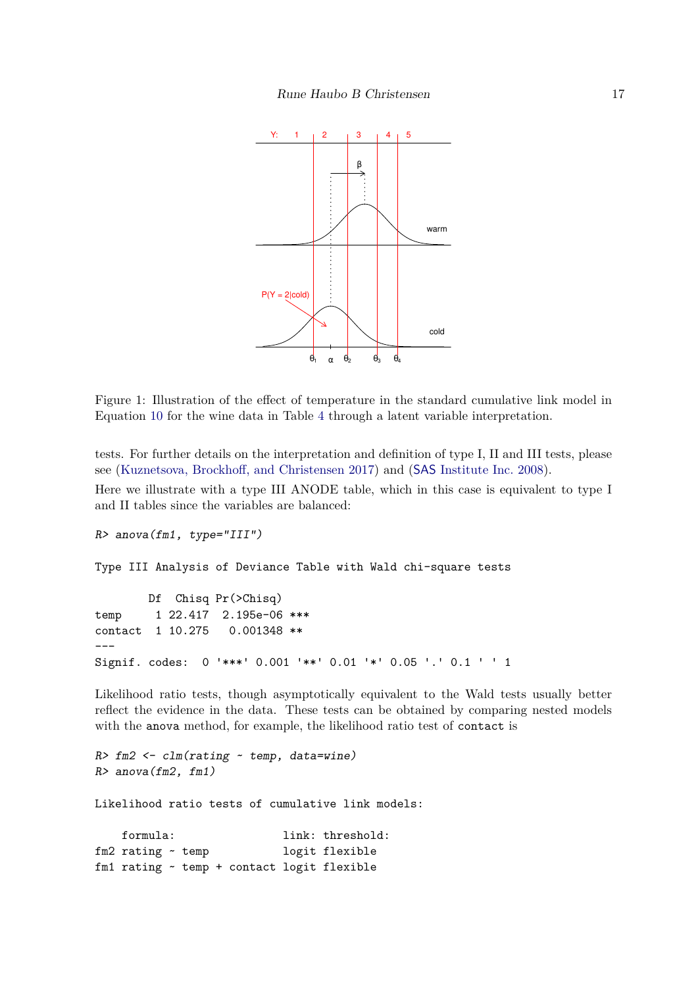

<span id="page-16-0"></span>Figure 1: Illustration of the effect of temperature in the standard cumulative link model in Equation [10](#page-14-1) for the wine data in Table [4](#page-14-0) through a latent variable interpretation.

tests. For further details on the interpretation and definition of type I, II and III tests, please see [\(Kuznetsova, Brockhoff, and Christensen 2017\)](#page-38-15) and (SAS [Institute Inc. 2008\)](#page-39-7).

Here we illustrate with a type III ANODE table, which in this case is equivalent to type I and II tables since the variables are balanced:

```
R> anova(fm1, type="III")
```
Type III Analysis of Deviance Table with Wald chi-square tests

Df Chisq Pr(>Chisq) temp 1 22.417 2.195e-06 \*\*\* contact 1 10.275 0.001348 \*\* --- Signif. codes: 0 '\*\*\*' 0.001 '\*\*' 0.01 '\*' 0.05 '.' 0.1 ' ' 1

Likelihood ratio tests, though asymptotically equivalent to the Wald tests usually better reflect the evidence in the data. These tests can be obtained by comparing nested models with the anova method, for example, the likelihood ratio test of contact is

*R> fm2 <- clm(rating ~ temp, data=wine) R> anova(fm2, fm1)*

Likelihood ratio tests of cumulative link models:

formula: link: threshold: fm2 rating ~ temp logit flexible fm1 rating ~ temp + contact logit flexible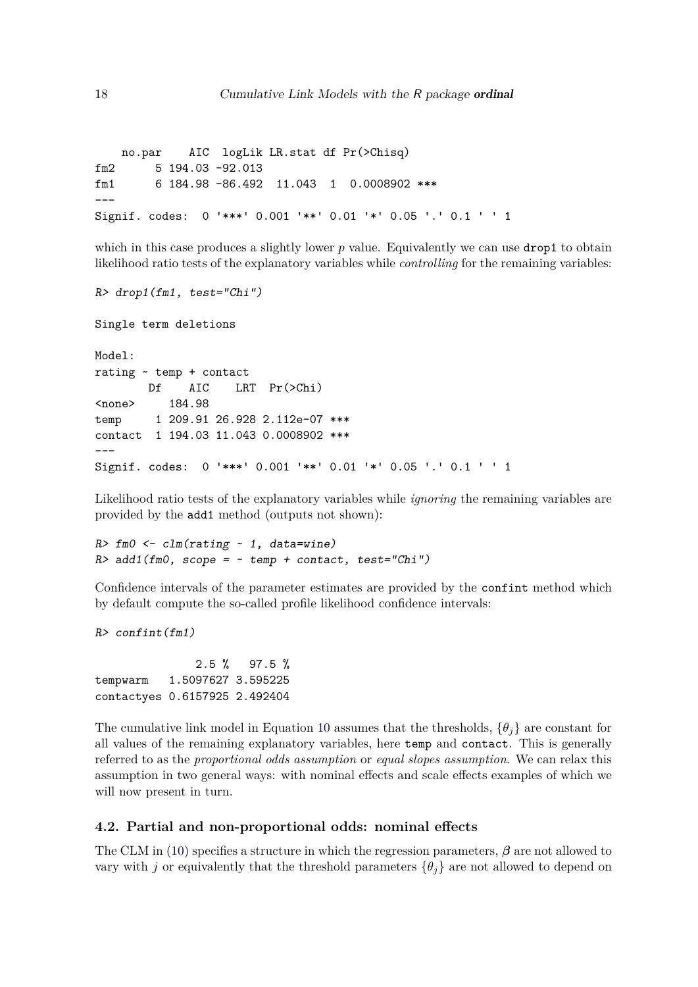no.par AIC logLik LR.stat df Pr(>Chisq) fm2 5 194.03 -92.013 fm1 6 184.98 -86.492 11.043 1 0.0008902 \*\*\*  $---$ Signif. codes: 0 '\*\*\*' 0.001 '\*\*' 0.01 '\*' 0.05 '.' 0.1 ' ' 1

which in this case produces a slightly lower *p* value. Equivalently we can use **drop1** to obtain likelihood ratio tests of the explanatory variables while *controlling* for the remaining variables:

```
R> drop1(fm1, test="Chi")
```
Single term deletions

```
Model:
rating ~ temp + contact
       Df AIC LRT Pr(>Chi)
<none> 184.98
temp 1 209.91 26.928 2.112e-07 ***
contact 1 194.03 11.043 0.0008902 ***
---
Signif. codes: 0 '***' 0.001 '**' 0.01 '*' 0.05 '.' 0.1 ' ' 1
```
Likelihood ratio tests of the explanatory variables while *ignoring* the remaining variables are provided by the add1 method (outputs not shown):

```
R> fm0 <- clm(rating ~ 1, data=wine)
R> add1(fm0, scope = ~ temp + contact, test="Chi")
```
Confidence intervals of the parameter estimates are provided by the confint method which by default compute the so-called profile likelihood confidence intervals:

*R> confint(fm1)*

2.5 % 97.5 % tempwarm 1.5097627 3.595225 contactyes 0.6157925 2.492404

The cumulative link model in Equation [10](#page-14-1) assumes that the thresholds,  $\{\theta_i\}$  are constant for all values of the remaining explanatory variables, here temp and contact. This is generally referred to as the *proportional odds assumption* or *equal slopes assumption*. We can relax this assumption in two general ways: with nominal effects and scale effects examples of which we will now present in turn.

## <span id="page-17-0"></span>**4.2. Partial and non-proportional odds: nominal effects**

The CLM in [\(10\)](#page-14-1) specifies a structure in which the regression parameters, *β* are not allowed to vary with *j* or equivalently that the threshold parameters  ${\theta_i}$  are not allowed to depend on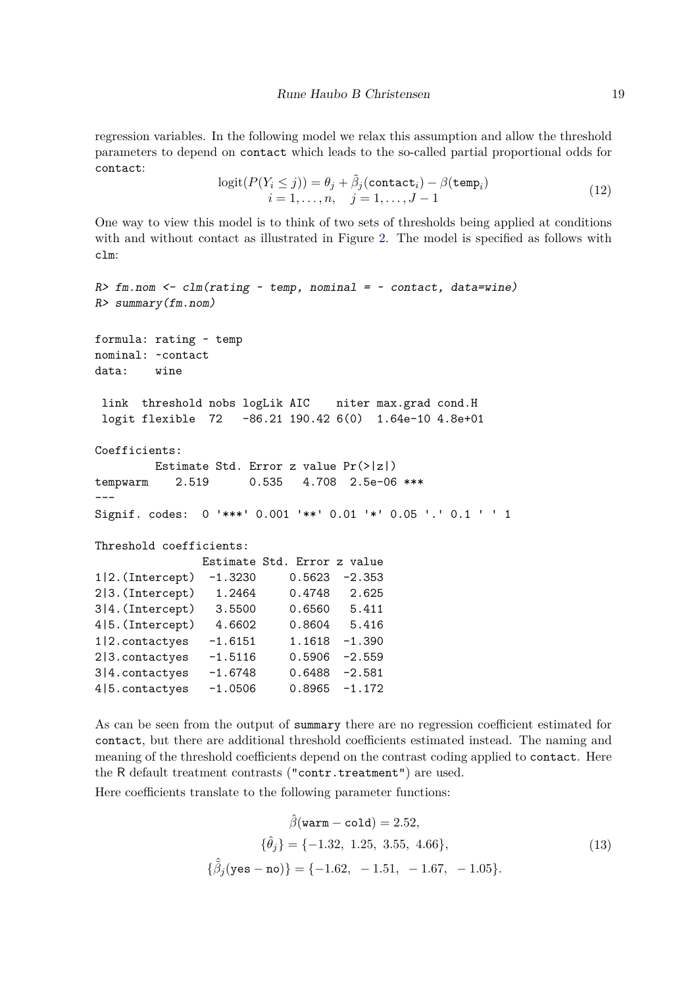<span id="page-18-0"></span>regression variables. In the following model we relax this assumption and allow the threshold parameters to depend on contact which leads to the so-called partial proportional odds for contact:

$$
logit(P(Y_i \le j)) = \theta_j + \tilde{\beta}_j (contact_i) - \beta (temp_i)
$$
  

$$
i = 1, ..., n, \quad j = 1, ..., J - 1
$$
 (12)

One way to view this model is to think of two sets of thresholds being applied at conditions with and without contact as illustrated in Figure [2.](#page-19-0) The model is specified as follows with clm:

```
R> fm.nom <- clm(rating ~ temp, nominal = ~ contact, data=wine)
R> summary(fm.nom)
formula: rating ~ temp
nominal: ~contact
data: wine
link threshold nobs logLik AIC niter max.grad cond.H
logit flexible 72 -86.21 190.42 6(0) 1.64e-10 4.8e+01
Coefficients:
        Estimate Std. Error z value Pr(>|z|)
tempwarm 2.519 0.535 4.708 2.5e-06 ***
---
Signif. codes: 0 '***' 0.001 '**' 0.01 '*' 0.05 '.' 0.1 ' ' 1
Threshold coefficients:
              Estimate Std. Error z value
1|2.(Intercept) -1.3230 0.5623 -2.353
2|3.(Intercept) 1.2464 0.4748 2.625
3|4.(Intercept) 3.5500 0.6560 5.411
4|5.(Intercept) 4.6602 0.8604 5.416
1|2.contactyes -1.6151 1.1618 -1.390
2|3.contactyes -1.5116 0.5906 -2.559
3|4.contactyes -1.6748 0.6488 -2.581
4|5.contactyes -1.0506 0.8965 -1.172
```
As can be seen from the output of summary there are no regression coefficient estimated for contact, but there are additional threshold coefficients estimated instead. The naming and meaning of the threshold coefficients depend on the contrast coding applied to contact. Here the R default treatment contrasts ("contr.treatment") are used.

Here coefficients translate to the following parameter functions:

$$
\hat{\beta}(\text{warm} - \text{cold}) = 2.52,
$$
  
\n
$$
\{\hat{\theta}_j\} = \{-1.32, 1.25, 3.55, 4.66\},
$$
  
\n
$$
\{\hat{\beta}_j(\text{yes} - \text{no})\} = \{-1.62, -1.51, -1.67, -1.05\}.
$$
\n(13)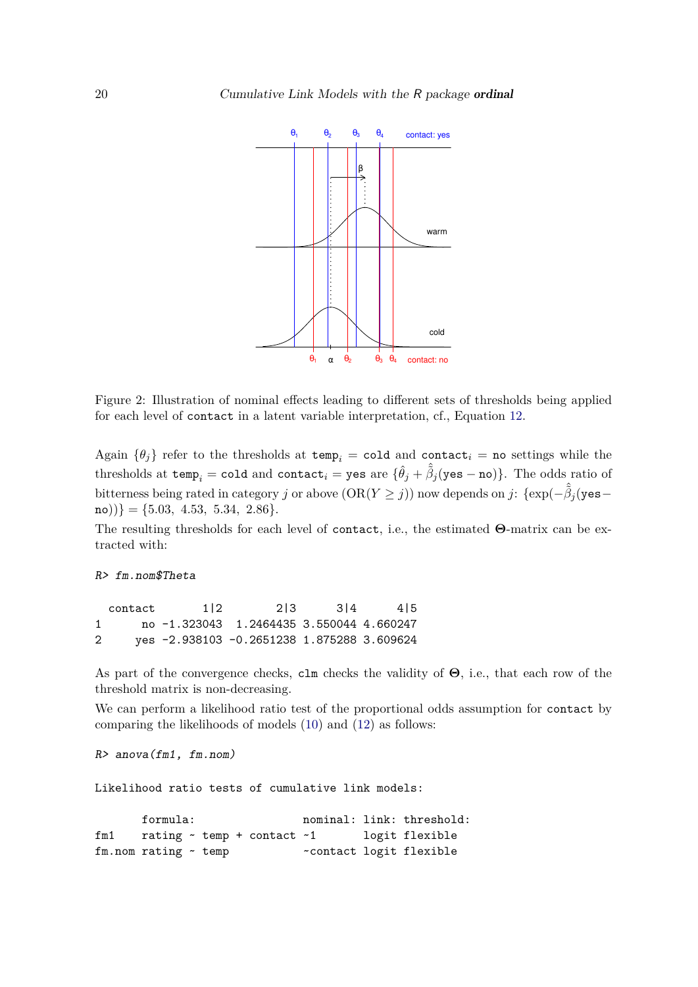

<span id="page-19-0"></span>Figure 2: Illustration of nominal effects leading to different sets of thresholds being applied for each level of contact in a latent variable interpretation, cf., Equation [12.](#page-18-0)

Again  $\{\theta_i\}$  refer to the thresholds at temp<sub>i</sub> = cold and contact<sub>i</sub> = no settings while the thresholds at temp<sub>*i*</sub> = cold and contact<sub>*i*</sub> = yes are  $\{\hat{\theta}_j + \hat{\tilde{\beta}}_j$ (yes - no)}. The odds ratio of bitterness being rated in category *j* or above  $(OR(Y \geq j))$  now depends on *j*: {exp( $-\hat{\beta}_j$ (yes–  $\{ \text{no)} \} = \{ 5.03, 4.53, 5.34, 2.86 \}.$ 

The resulting thresholds for each level of contact, i.e., the estimated **Θ**-matrix can be extracted with:

*R> fm.nom\$Theta*

contact 1|2 2|3 3|4 4|5 1 no -1.323043 1.2464435 3.550044 4.660247 2 yes -2.938103 -0.2651238 1.875288 3.609624

As part of the convergence checks, clm checks the validity of **Θ**, i.e., that each row of the threshold matrix is non-decreasing.

We can perform a likelihood ratio test of the proportional odds assumption for contact by comparing the likelihoods of models [\(10\)](#page-14-1) and [\(12\)](#page-18-0) as follows:

```
R> anova(fm1, fm.nom)
```
Likelihood ratio tests of cumulative link models:

formula: nominal: link: threshold: fm1 rating ~ temp + contact ~1 logit flexible fm.nom rating  $\sim$  temp  $\sim$  contact logit flexible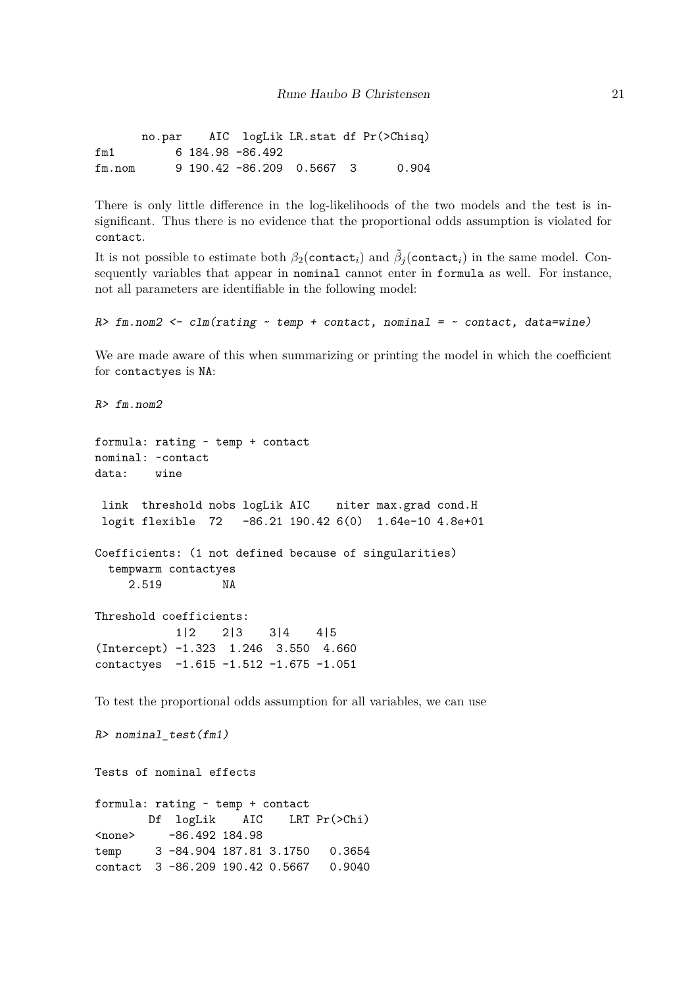no.par AIC logLik LR.stat df Pr(>Chisq) fm1 6 184.98 -86.492 fm.nom 9 190.42 -86.209 0.5667 3 0.904

There is only little difference in the log-likelihoods of the two models and the test is insignificant. Thus there is no evidence that the proportional odds assumption is violated for contact.

It is not possible to estimate both  $\beta_2$ (contact<sub>*i*</sub>) and  $\tilde{\beta}_j$ (contact<sub>*i*</sub>) in the same model. Consequently variables that appear in nominal cannot enter in formula as well. For instance, not all parameters are identifiable in the following model:

```
R> fm.nom2 <- clm(rating ~ temp + contact, nominal = ~ contact, data=wine)
```
We are made aware of this when summarizing or printing the model in which the coefficient for contactyes is NA:

```
R> fm.nom2
formula: rating ~ temp + contact
nominal: ~contact
data: wine
link threshold nobs logLik AIC niter max.grad cond.H
logit flexible 72 -86.21 190.42 6(0) 1.64e-10 4.8e+01
Coefficients: (1 not defined because of singularities)
 tempwarm contactyes
    2.519 NA
Threshold coefficients:
           1|2 2|3 3|4 4|5
(Intercept) -1.323 1.246 3.550 4.660
contactyes -1.615 -1.512 -1.675 -1.051
```
To test the proportional odds assumption for all variables, we can use

*R> nominal\_test(fm1)*

Tests of nominal effects

formula: rating ~ temp + contact Df logLik AIC LRT Pr(>Chi) <none> -86.492 184.98 temp 3 -84.904 187.81 3.1750 0.3654 contact 3 -86.209 190.42 0.5667 0.9040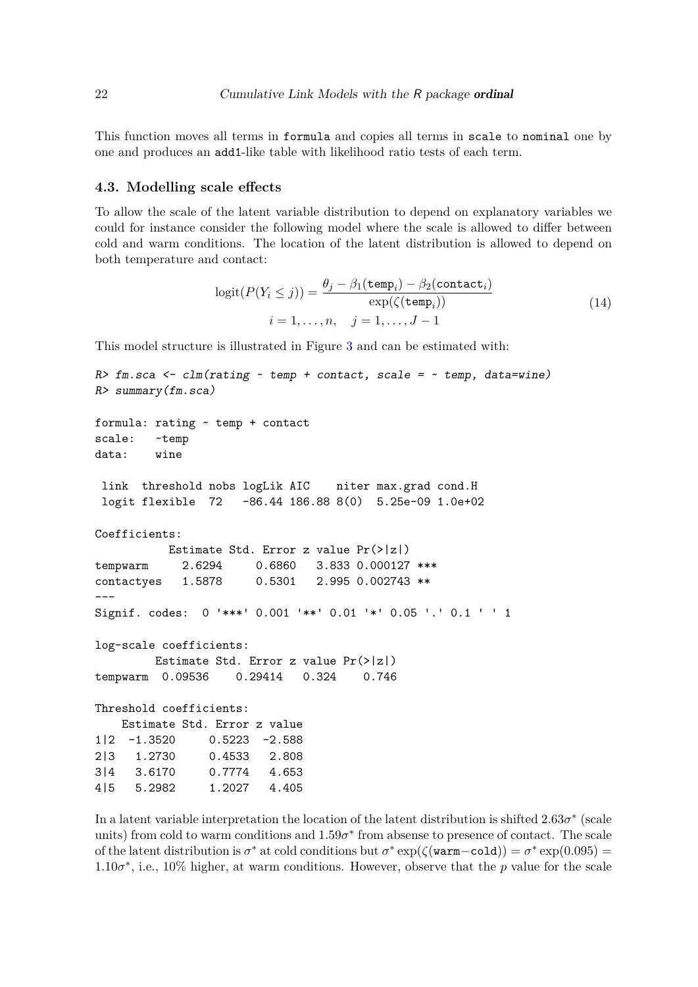This function moves all terms in formula and copies all terms in scale to nominal one by one and produces an add1-like table with likelihood ratio tests of each term.

#### <span id="page-21-0"></span>**4.3. Modelling scale effects**

To allow the scale of the latent variable distribution to depend on explanatory variables we could for instance consider the following model where the scale is allowed to differ between cold and warm conditions. The location of the latent distribution is allowed to depend on both temperature and contact:

<span id="page-21-1"></span>
$$
logit(P(Y_i \le j)) = \frac{\theta_j - \beta_1(\text{temp}_i) - \beta_2(\text{contact}_i)}{\exp(\zeta(\text{temp}_i))}
$$
  

$$
i = 1, ..., n, \quad j = 1, ..., J - 1
$$
 (14)

This model structure is illustrated in Figure [3](#page-22-1) and can be estimated with:

```
R> fm.sca <- clm(rating ~ temp + contact, scale = ~ temp, data=wine)
R> summary(fm.sca)
formula: rating ~ temp + contact
scale: ~temp
data: wine
link threshold nobs logLik AIC niter max.grad cond.H
logit flexible 72 -86.44 186.88 8(0) 5.25e-09 1.0e+02
Coefficients:
          Estimate Std. Error z value Pr(>|z|)
tempwarm 2.6294 0.6860 3.833 0.000127 ***
contactyes 1.5878 0.5301 2.995 0.002743 **
---
Signif. codes: 0 '***' 0.001 '**' 0.01 '*' 0.05 '.' 0.1 ' ' 1
log-scale coefficients:
        Estimate Std. Error z value Pr(>|z|)
tempwarm 0.09536 0.29414 0.324 0.746
Threshold coefficients:
   Estimate Std. Error z value
1|2 -1.3520 0.5223 -2.588
2|3 1.2730 0.4533 2.808
3|4 3.6170 0.7774 4.653
4|5 5.2982 1.2027 4.405
```
In a latent variable interpretation the location of the latent distribution is shifted  $2.63\sigma^*$  (scale units) from cold to warm conditions and  $1.59\sigma^*$  from absense to presence of contact. The scale of the latent distribution is  $\sigma^*$  at cold conditions but  $\sigma^* \exp(\zeta(\text{warm}-\text{cold})) = \sigma^* \exp(0.095)$  $1.10\sigma^*$ , i.e., 10% higher, at warm conditions. However, observe that the *p* value for the scale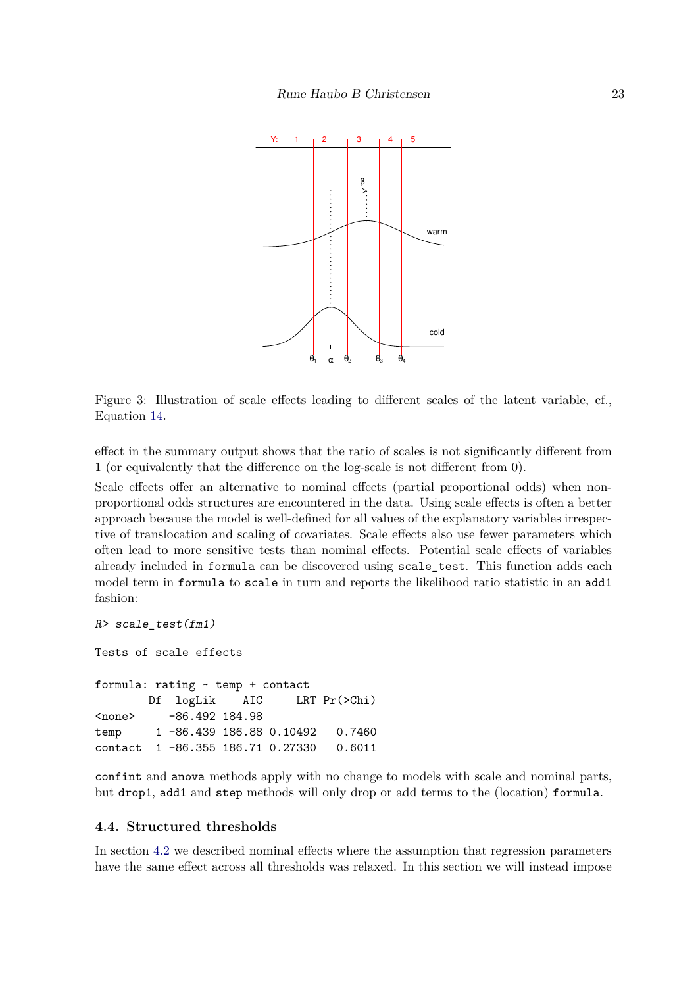

<span id="page-22-1"></span>Figure 3: Illustration of scale effects leading to different scales of the latent variable, cf., Equation [14.](#page-21-1)

effect in the summary output shows that the ratio of scales is not significantly different from 1 (or equivalently that the difference on the log-scale is not different from 0).

Scale effects offer an alternative to nominal effects (partial proportional odds) when nonproportional odds structures are encountered in the data. Using scale effects is often a better approach because the model is well-defined for all values of the explanatory variables irrespective of translocation and scaling of covariates. Scale effects also use fewer parameters which often lead to more sensitive tests than nominal effects. Potential scale effects of variables already included in formula can be discovered using scale\_test. This function adds each model term in formula to scale in turn and reports the likelihood ratio statistic in an add1 fashion:

```
R> scale_test(fm1)
Tests of scale effects
formula: rating ~ temp + contact
       Df logLik AIC LRT Pr(>Chi)
<none> -86.492 184.98
temp 1 -86.439 186.88 0.10492 0.7460
contact 1 -86.355 186.71 0.27330 0.6011
```
confint and anova methods apply with no change to models with scale and nominal parts, but drop1, add1 and step methods will only drop or add terms to the (location) formula.

## <span id="page-22-0"></span>**4.4. Structured thresholds**

In section [4.2](#page-17-0) we described nominal effects where the assumption that regression parameters have the same effect across all thresholds was relaxed. In this section we will instead impose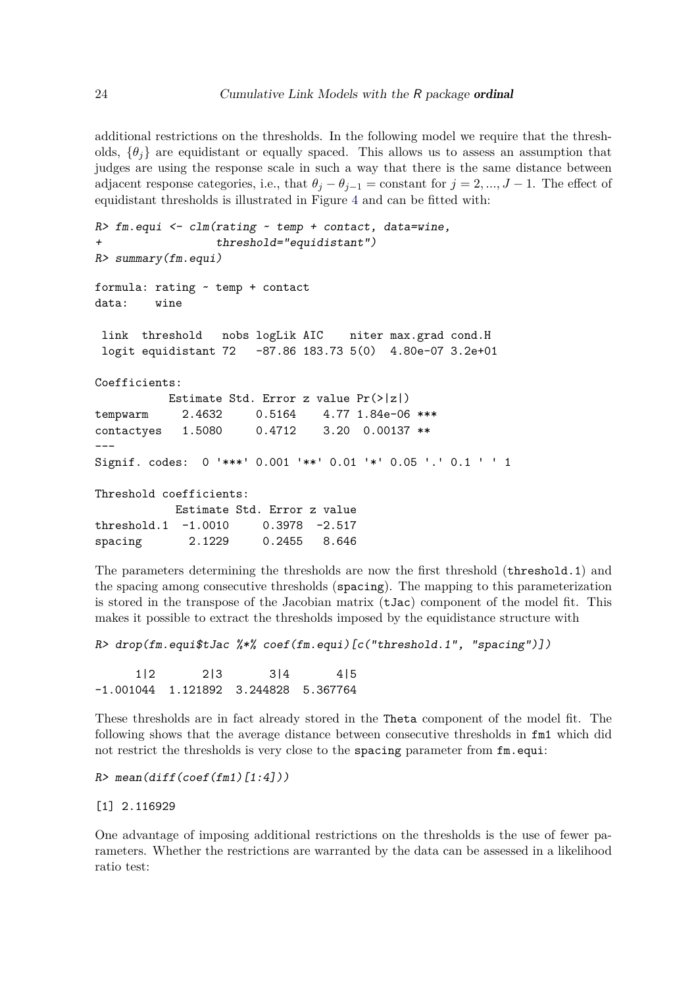additional restrictions on the thresholds. In the following model we require that the thresholds,  $\{\theta_i\}$  are equidistant or equally spaced. This allows us to assess an assumption that judges are using the response scale in such a way that there is the same distance between adjacent response categories, i.e., that  $\theta_j - \theta_{j-1} = \text{constant}$  for  $j = 2, ..., J - 1$ . The effect of equidistant thresholds is illustrated in Figure [4](#page-24-0) and can be fitted with:

```
R> fm.equi <- clm(rating ~ temp + contact, data=wine,
                 + threshold="equidistant")
R> summary(fm.equi)
formula: rating ~ temp + contact
data: wine
link threshold nobs logLik AIC niter max.grad cond.H
logit equidistant 72 -87.86 183.73 5(0) 4.80e-07 3.2e+01
Coefficients:
          Estimate Std. Error z value Pr(>|z|)
tempwarm 2.4632 0.5164 4.77 1.84e-06 ***
contactyes 1.5080 0.4712 3.20 0.00137 **
---
Signif. codes: 0 '***' 0.001 '**' 0.01 '*' 0.05 '.' 0.1 ' ' 1
Threshold coefficients:
           Estimate Std. Error z value
threshold.1 -1.0010 0.3978 -2.517
spacing 2.1229 0.2455 8.646
```
The parameters determining the thresholds are now the first threshold (threshold.1) and the spacing among consecutive thresholds (spacing). The mapping to this parameterization is stored in the transpose of the Jacobian matrix (tJac) component of the model fit. This makes it possible to extract the thresholds imposed by the equidistance structure with

```
R> drop(fm.equi$tJac %*% coef(fm.equi)[c("threshold.1", "spacing")])
```
1|2 2|3 3|4 4|5 -1.001044 1.121892 3.244828 5.367764

These thresholds are in fact already stored in the Theta component of the model fit. The following shows that the average distance between consecutive thresholds in fm1 which did not restrict the thresholds is very close to the spacing parameter from fm.equi:

```
R> mean(diff(coef(fm1)[1:4]))
```
## [1] 2.116929

One advantage of imposing additional restrictions on the thresholds is the use of fewer parameters. Whether the restrictions are warranted by the data can be assessed in a likelihood ratio test: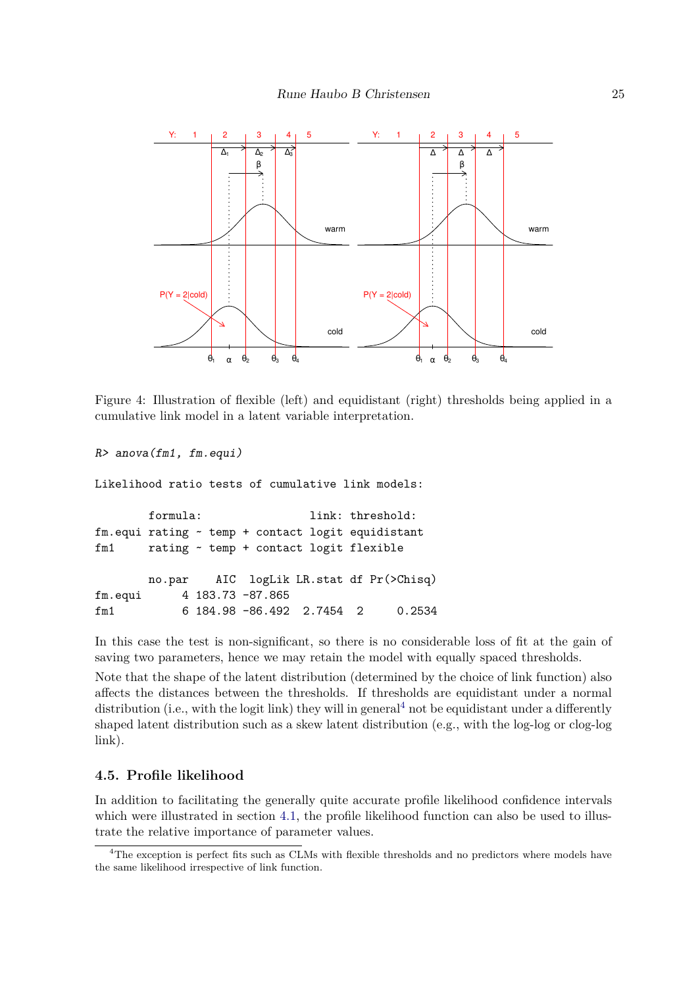

<span id="page-24-0"></span>Figure 4: Illustration of flexible (left) and equidistant (right) thresholds being applied in a cumulative link model in a latent variable interpretation.

*R> anova(fm1, fm.equi)*

Likelihood ratio tests of cumulative link models:

formula: link: threshold: fm.equi rating ~ temp + contact logit equidistant fm1 rating ~ temp + contact logit flexible no.par AIC logLik LR.stat df Pr(>Chisq) fm.equi 4 183.73 -87.865 fm1 6 184.98 -86.492 2.7454 2 0.2534

In this case the test is non-significant, so there is no considerable loss of fit at the gain of saving two parameters, hence we may retain the model with equally spaced thresholds.

Note that the shape of the latent distribution (determined by the choice of link function) also affects the distances between the thresholds. If thresholds are equidistant under a normal distribution (i.e., with the logit link) they will in general<sup>[4](#page-24-1)</sup> not be equidistant under a differently shaped latent distribution such as a skew latent distribution (e.g., with the log-log or clog-log link).

## **4.5. Profile likelihood**

In addition to facilitating the generally quite accurate profile likelihood confidence intervals which were illustrated in section [4.1,](#page-14-2) the profile likelihood function can also be used to illustrate the relative importance of parameter values.

<span id="page-24-1"></span><sup>&</sup>lt;sup>4</sup>The exception is perfect fits such as CLMs with flexible thresholds and no predictors where models have the same likelihood irrespective of link function.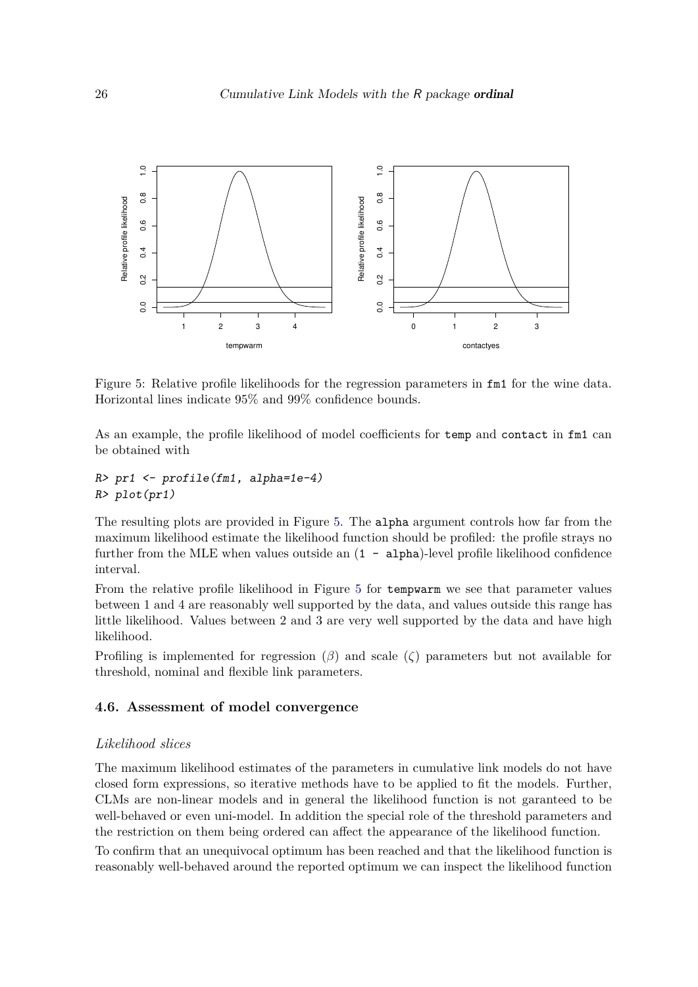

<span id="page-25-0"></span>Figure 5: Relative profile likelihoods for the regression parameters in fm1 for the wine data. Horizontal lines indicate 95% and 99% confidence bounds.

As an example, the profile likelihood of model coefficients for temp and contact in fm1 can be obtained with

```
R> pr1 <- profile(fm1, alpha=1e-4)
R> plot(pr1)
```
The resulting plots are provided in Figure [5.](#page-25-0) The alpha argument controls how far from the maximum likelihood estimate the likelihood function should be profiled: the profile strays no further from the MLE when values outside an  $(1 - \alpha)$  alpha)-level profile likelihood confidence interval.

From the relative profile likelihood in Figure [5](#page-25-0) for tempwarm we see that parameter values between 1 and 4 are reasonably well supported by the data, and values outside this range has little likelihood. Values between 2 and 3 are very well supported by the data and have high likelihood.

Profiling is implemented for regression (*β*) and scale (*ζ*) parameters but not available for threshold, nominal and flexible link parameters.

#### **4.6. Assessment of model convergence**

### *Likelihood slices*

The maximum likelihood estimates of the parameters in cumulative link models do not have closed form expressions, so iterative methods have to be applied to fit the models. Further, CLMs are non-linear models and in general the likelihood function is not garanteed to be well-behaved or even uni-model. In addition the special role of the threshold parameters and the restriction on them being ordered can affect the appearance of the likelihood function.

To confirm that an unequivocal optimum has been reached and that the likelihood function is reasonably well-behaved around the reported optimum we can inspect the likelihood function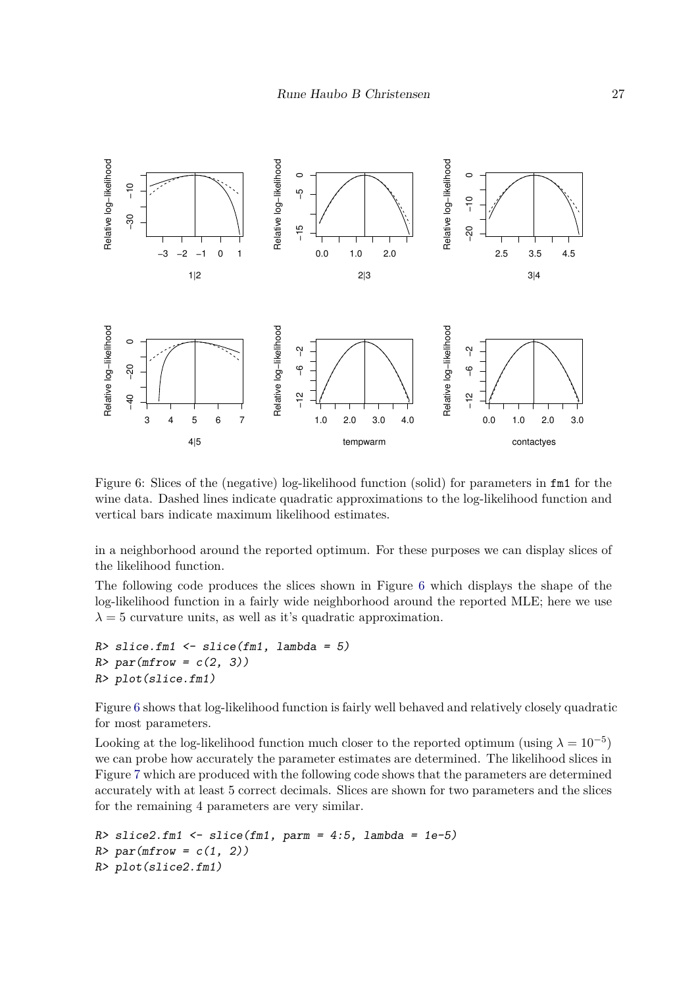

<span id="page-26-0"></span>Figure 6: Slices of the (negative) log-likelihood function (solid) for parameters in fm1 for the wine data. Dashed lines indicate quadratic approximations to the log-likelihood function and vertical bars indicate maximum likelihood estimates.

in a neighborhood around the reported optimum. For these purposes we can display slices of the likelihood function.

The following code produces the slices shown in Figure [6](#page-26-0) which displays the shape of the log-likelihood function in a fairly wide neighborhood around the reported MLE; here we use  $\lambda = 5$  curvature units, as well as it's quadratic approximation.

```
R> slice.fm1 <- slice(fm1, lambda = 5)
R> par(mfrow = c(2, 3))
R> plot(slice.fm1)
```
Figure [6](#page-26-0) shows that log-likelihood function is fairly well behaved and relatively closely quadratic for most parameters.

Looking at the log-likelihood function much closer to the reported optimum (using  $\lambda = 10^{-5}$ ) we can probe how accurately the parameter estimates are determined. The likelihood slices in Figure [7](#page-27-0) which are produced with the following code shows that the parameters are determined accurately with at least 5 correct decimals. Slices are shown for two parameters and the slices for the remaining 4 parameters are very similar.

```
R> slice2.fm1 <- slice(fm1, parm = 4:5, lambda = 1e-5)
R> par(mfrow = c(1, 2))
R> plot(slice2.fm1)
```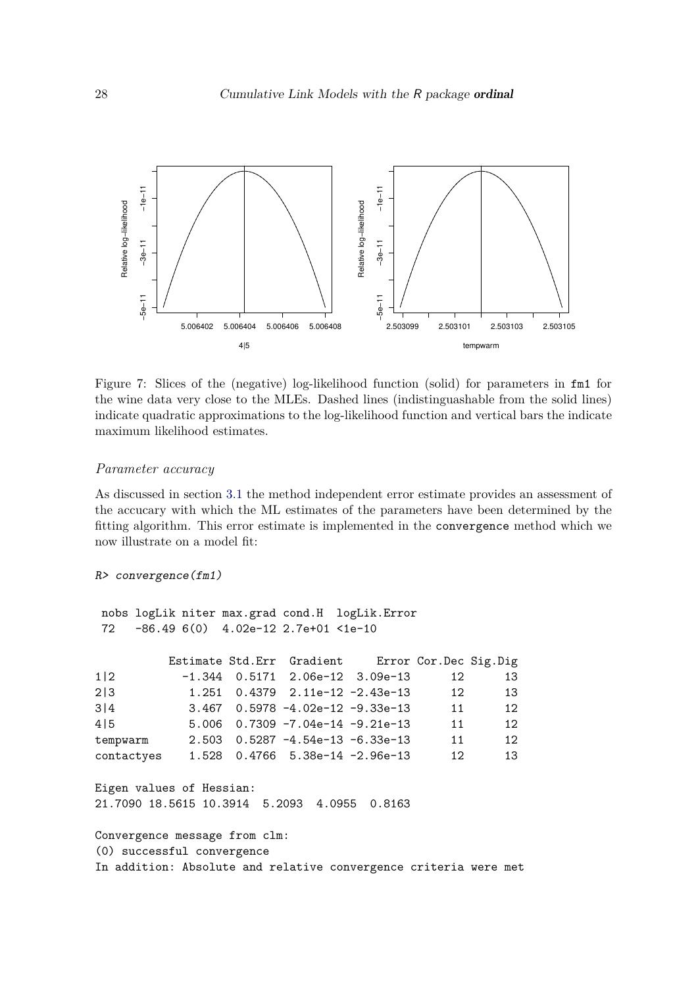

<span id="page-27-0"></span>Figure 7: Slices of the (negative) log-likelihood function (solid) for parameters in fm1 for the wine data very close to the MLEs. Dashed lines (indistinguashable from the solid lines) indicate quadratic approximations to the log-likelihood function and vertical bars the indicate maximum likelihood estimates.

#### *Parameter accuracy*

As discussed in section [3.1](#page-9-0) the method independent error estimate provides an assessment of the accucary with which the ML estimates of the parameters have been determined by the fitting algorithm. This error estimate is implemented in the convergence method which we now illustrate on a model fit:

```
R> convergence(fm1)
nobs logLik niter max.grad cond.H logLik.Error
72 -86.49 6(0) 4.02e-12 2.7e+01 <1e-10
        Estimate Std.Err Gradient Error Cor.Dec Sig.Dig
1|2 -1.344 0.5171 2.06e-12 3.09e-13 12 13
2|3 1.251 0.4379 2.11e-12 -2.43e-13 12 13
3|4 3.467 0.5978 -4.02e-12 -9.33e-13 11 12
4|5   5.006   0.7309   -7.04e-14   -9.21e-13   11   12
tempwarm 2.503 0.5287 -4.54e-13 -6.33e-13 11 12
contactyes 1.528 0.4766 5.38e-14 -2.96e-13 12 13
Eigen values of Hessian:
```
21.7090 18.5615 10.3914 5.2093 4.0955 0.8163

Convergence message from clm: (0) successful convergence In addition: Absolute and relative convergence criteria were met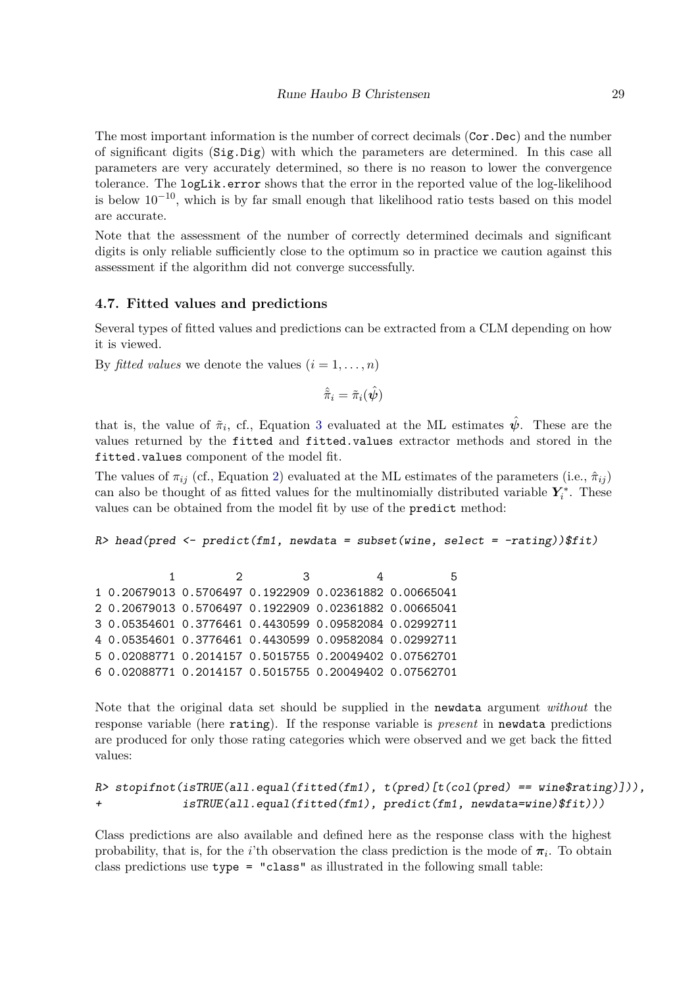The most important information is the number of correct decimals (Cor.Dec) and the number of significant digits (Sig.Dig) with which the parameters are determined. In this case all parameters are very accurately determined, so there is no reason to lower the convergence tolerance. The logLik.error shows that the error in the reported value of the log-likelihood is below 10−10, which is by far small enough that likelihood ratio tests based on this model are accurate.

Note that the assessment of the number of correctly determined decimals and significant digits is only reliable sufficiently close to the optimum so in practice we caution against this assessment if the algorithm did not converge successfully.

## **4.7. Fitted values and predictions**

Several types of fitted values and predictions can be extracted from a CLM depending on how it is viewed.

By *fitted values* we denote the values  $(i = 1, \ldots, n)$ 

$$
\hat{\tilde{\pi}}_i = \tilde{\pi}_i(\hat{\bm{\psi}})
$$

that is, the value of  $\tilde{\pi}_i$ , cf., Equation [3](#page-3-1) evaluated at the ML estimates  $\hat{\psi}$ . These are the values returned by the fitted and fitted.values extractor methods and stored in the fitted.values component of the model fit.

The values of  $\pi_{ij}$  (cf., Equation [2\)](#page-3-2) evaluated at the ML estimates of the parameters (i.e.,  $\hat{\pi}_{ij}$ ) can also be thought of as fitted values for the multinomially distributed variable  $Y_i^*$  $i^*$ . These values can be obtained from the model fit by use of the predict method:

*R> head(pred <- predict(fm1, newdata = subset(wine, select = -rating))\$fit)*

1 2 3 4 5 1 0.20679013 0.5706497 0.1922909 0.02361882 0.00665041 2 0.20679013 0.5706497 0.1922909 0.02361882 0.00665041 3 0.05354601 0.3776461 0.4430599 0.09582084 0.02992711 4 0.05354601 0.3776461 0.4430599 0.09582084 0.02992711 5 0.02088771 0.2014157 0.5015755 0.20049402 0.07562701 6 0.02088771 0.2014157 0.5015755 0.20049402 0.07562701

Note that the original data set should be supplied in the newdata argument *without* the response variable (here rating). If the response variable is *present* in newdata predictions are produced for only those rating categories which were observed and we get back the fitted values:

```
R> stopifnot(isTRUE(all.equal(fitted(fm1), t(pred)[t(col(pred) == wine$rating)])),
+ isTRUE(all.equal(fitted(fm1), predict(fm1, newdata=wine)$fit)))
```
Class predictions are also available and defined here as the response class with the highest probability, that is, for the *i*'th observation the class prediction is the mode of  $\pi_i$ . To obtain class predictions use type = "class" as illustrated in the following small table: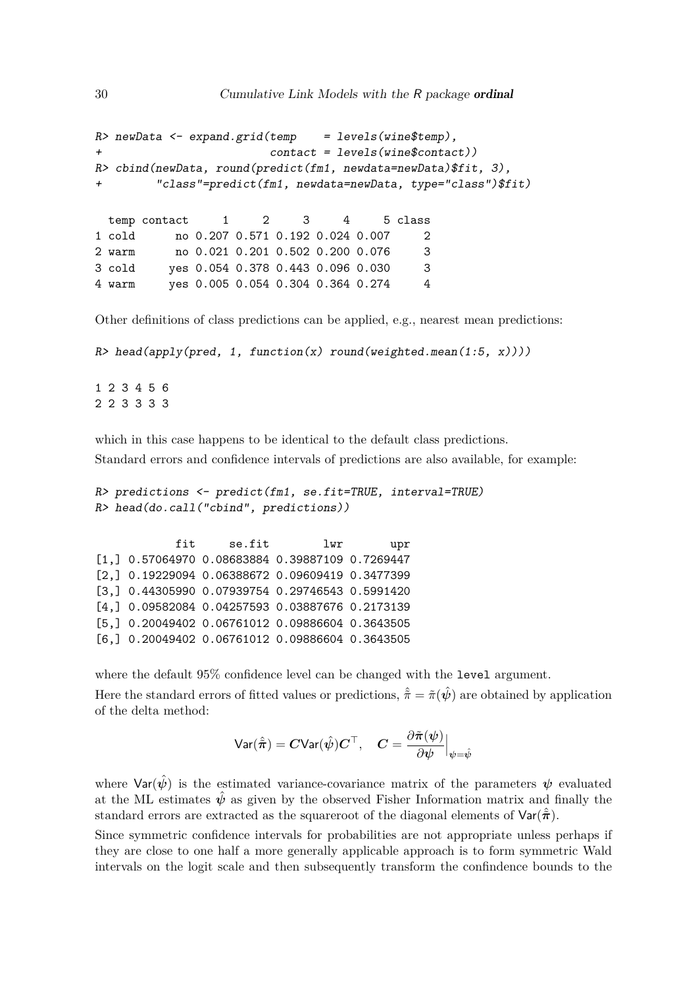```
R> newData <- expand.grid(temp = levels(wine$temp),
+ contact = levels(wine$contact))
R> cbind(newData, round(predict(fm1, newdata=newData)$fit, 3),
       + "class"=predict(fm1, newdata=newData, type="class")$fit)
 temp contact 1 2 3 4 5 class
1 cold no 0.207 0.571 0.192 0.024 0.007 2
2 warm no 0.021 0.201 0.502 0.200 0.076 3
3 cold yes 0.054 0.378 0.443 0.096 0.030 3
4 warm yes 0.005 0.054 0.304 0.364 0.274 4
```
Other definitions of class predictions can be applied, e.g., nearest mean predictions:

```
R> head(apply(pred, 1, function(x) round(weighted.mean(1:5, x))))
```
1 2 3 4 5 6 2 2 3 3 3 3

which in this case happens to be identical to the default class predictions.

Standard errors and confidence intervals of predictions are also available, for example:

```
R> predictions <- predict(fm1, se.fit=TRUE, interval=TRUE)
R> head(do.call("cbind", predictions))
```
fit se.fit lwr upr [1,] 0.57064970 0.08683884 0.39887109 0.7269447 [2,] 0.19229094 0.06388672 0.09609419 0.3477399 [3,] 0.44305990 0.07939754 0.29746543 0.5991420 [4,] 0.09582084 0.04257593 0.03887676 0.2173139 [5,] 0.20049402 0.06761012 0.09886604 0.3643505 [6,] 0.20049402 0.06761012 0.09886604 0.3643505

where the default 95% confidence level can be changed with the level argument. Here the standard errors of fitted values or predictions,  $\hat{\tilde{\pi}} = \tilde{\pi}(\hat{\psi})$  are obtained by application of the delta method:

$$
\text{Var}(\hat{\tilde{\pi}}) = \mathbf{C} \text{Var}(\hat{\psi}) \mathbf{C}^{\top}, \quad \mathbf{C} = \frac{\partial \tilde{\pi}(\psi)}{\partial \psi} \Big|_{\psi = \hat{\psi}}
$$

where  $\text{Var}(\hat{\psi})$  is the estimated variance-covariance matrix of the parameters  $\psi$  evaluated at the ML estimates  $\hat{\psi}$  as given by the observed Fisher Information matrix and finally the standard errors are extracted as the squareroot of the diagonal elements of  $\text{Var}(\hat{\hat{\pi}})$ .

Since symmetric confidence intervals for probabilities are not appropriate unless perhaps if they are close to one half a more generally applicable approach is to form symmetric Wald intervals on the logit scale and then subsequently transform the confindence bounds to the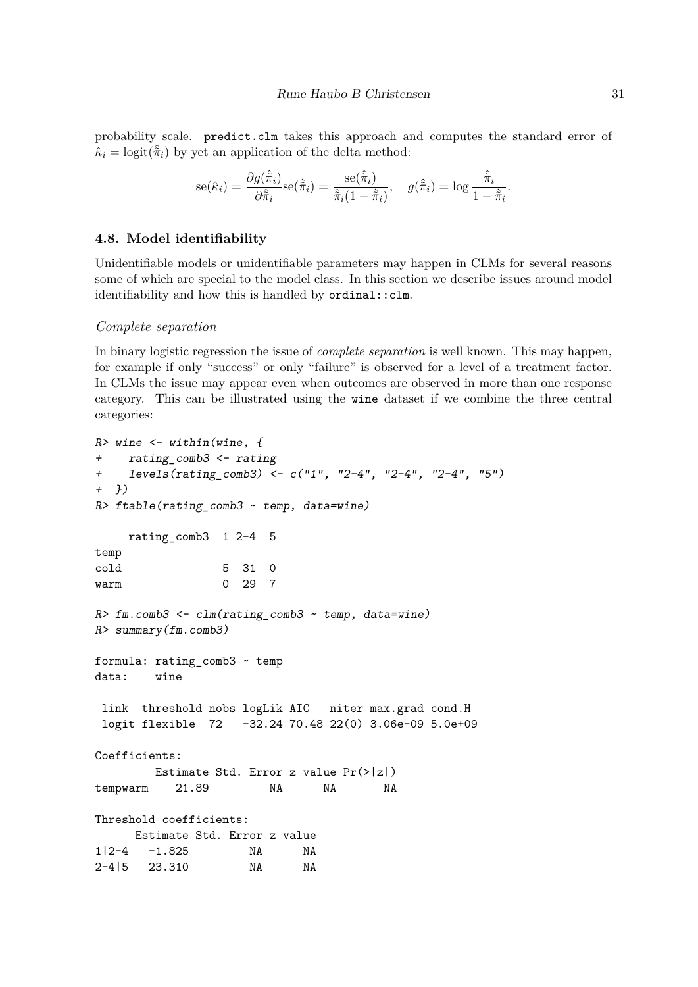probability scale. predict.clm takes this approach and computes the standard error of  $\hat{\kappa}_i = \text{logit}(\hat{\tilde{\pi}}_i)$  by yet an application of the delta method:

$$
\mathrm{se}(\hat{\kappa}_i) = \frac{\partial g(\hat{\tilde{\pi}}_i)}{\partial \hat{\tilde{\pi}}_i} \mathrm{se}(\hat{\tilde{\pi}}_i) = \frac{\mathrm{se}(\hat{\tilde{\pi}}_i)}{\hat{\tilde{\pi}}_i (1 - \hat{\tilde{\pi}}_i)}, \quad g(\hat{\tilde{\pi}}_i) = \log \frac{\hat{\tilde{\pi}}_i}{1 - \hat{\tilde{\pi}}_i}.
$$

## **4.8. Model identifiability**

Unidentifiable models or unidentifiable parameters may happen in CLMs for several reasons some of which are special to the model class. In this section we describe issues around model identifiability and how this is handled by ordinal::clm.

#### *Complete separation*

In binary logistic regression the issue of *complete separation* is well known. This may happen, for example if only "success" or only "failure" is observed for a level of a treatment factor. In CLMs the issue may appear even when outcomes are observed in more than one response category. This can be illustrated using the wine dataset if we combine the three central categories:

```
R> wine <- within(wine, {
+ rating_comb3 <- rating
+ levels(rating_comb3) <- c("1", "2-4", "2-4", "2-4", "5")
+ })
R> ftable(rating_comb3 ~ temp, data=wine)
    rating_comb3 1 2-4 5
temp
cold 5 31 0
warm 0 29 7
R> fm.comb3 <- clm(rating_comb3 ~ temp, data=wine)
R> summary(fm.comb3)
formula: rating_comb3 ~ temp
data: wine
link threshold nobs logLik AIC niter max.grad cond.H
logit flexible 72 -32.24 70.48 22(0) 3.06e-09 5.0e+09
Coefficients:
       Estimate Std. Error z value Pr(>|z|)
tempwarm 21.89 NA NA NA
Threshold coefficients:
     Estimate Std. Error z value
1|2-4 -1.825 NA NA
2-4|5 23.310 NA NA
```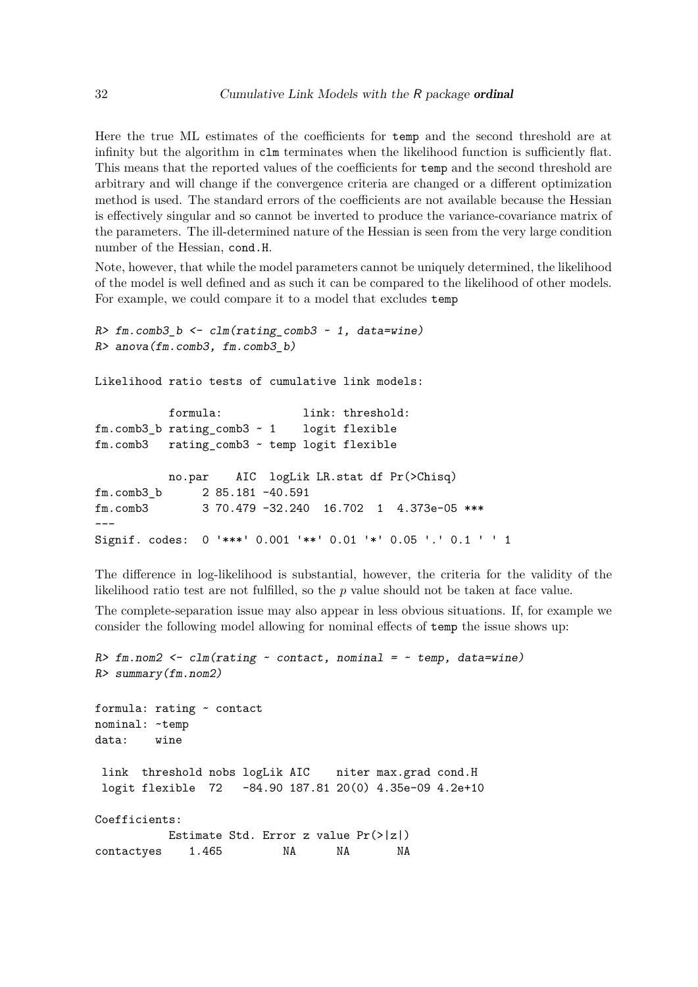Here the true ML estimates of the coefficients for temp and the second threshold are at infinity but the algorithm in clm terminates when the likelihood function is sufficiently flat. This means that the reported values of the coefficients for temp and the second threshold are arbitrary and will change if the convergence criteria are changed or a different optimization method is used. The standard errors of the coefficients are not available because the Hessian is effectively singular and so cannot be inverted to produce the variance-covariance matrix of the parameters. The ill-determined nature of the Hessian is seen from the very large condition number of the Hessian, cond.H.

Note, however, that while the model parameters cannot be uniquely determined, the likelihood of the model is well defined and as such it can be compared to the likelihood of other models. For example, we could compare it to a model that excludes temp

```
R> fm.comb3_b <- clm(rating_comb3 ~ 1, data=wine)
R> anova(fm.comb3, fm.comb3_b)
Likelihood ratio tests of cumulative link models:
          formula: link: threshold:
fm.comb3_b rating_comb3 ~ 1 logit flexible
fm.comb3 rating_comb3 ~ temp logit flexible
          no.par AIC logLik LR.stat df Pr(>Chisq)
fm.comb3_b 2 85.181 -40.591
fm.comb3 3 70.479 -32.240 16.702 1 4.373e-05 ***
---
Signif. codes: 0 '***' 0.001 '**' 0.01 '*' 0.05 '.' 0.1 ' ' 1
```
The difference in log-likelihood is substantial, however, the criteria for the validity of the likelihood ratio test are not fulfilled, so the *p* value should not be taken at face value.

The complete-separation issue may also appear in less obvious situations. If, for example we consider the following model allowing for nominal effects of temp the issue shows up:

```
R> fm.nom2 <- clm(rating ~ contact, nominal = ~ temp, data=wine)
R> summary(fm.nom2)
formula: rating ~ contact
nominal: ~temp
data: wine
link threshold nobs logLik AIC niter max.grad cond.H
logit flexible 72 -84.90 187.81 20(0) 4.35e-09 4.2e+10
Coefficients:
          Estimate Std. Error z value Pr(>|z|)
contactyes 1.465 NA NA NA
```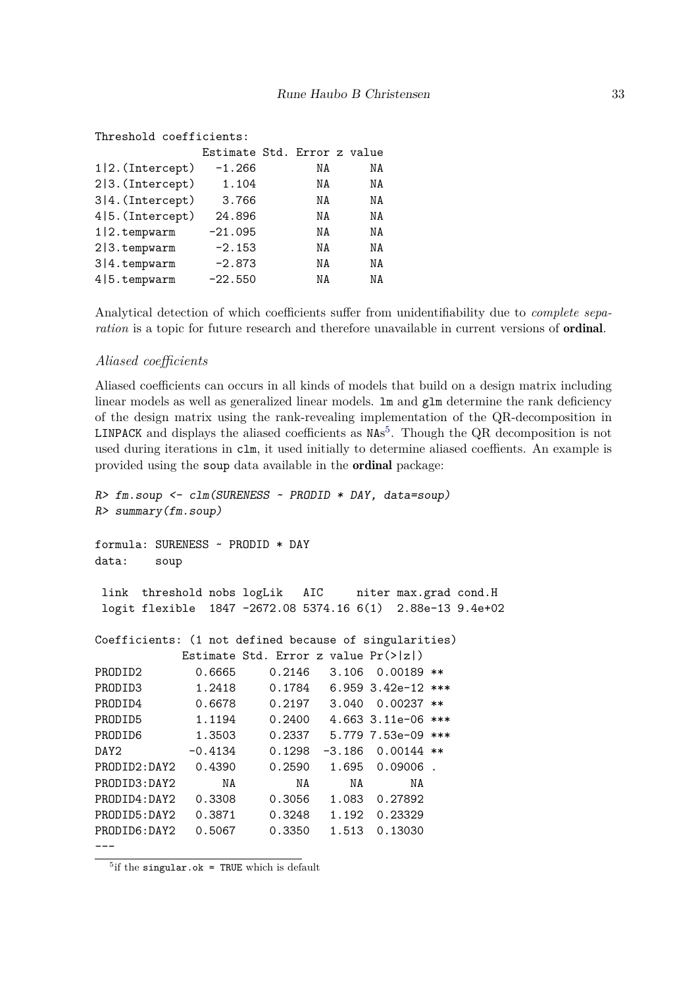## Threshold coefficients:

|                    | Estimate Std. Error z value |    |    |
|--------------------|-----------------------------|----|----|
| $1 2.$ (Intercept) | $-1.266$                    | NA | ΝA |
| $2 3.$ (Intercept) | 1.104                       | ΝA | ΝA |
| 3 4. (Intercept)   | 3.766                       | ΝA | ΝA |
| 4 5. (Intercept)   | 24.896                      | ΝA | ΝA |
| 1 2.tempwarm       | $-21.095$                   | ΝA | ΝA |
| 2 3.tempwarm       | $-2.153$                    | ΝA | ΝA |
| 3 4.tempwarm       | $-2.873$                    | ΝA | ΝA |
| 4   5. tempwarm    | $-22.550$                   | ΝA | ΝA |

Analytical detection of which coefficients suffer from unidentifiability due to *complete separation* is a topic for future research and therefore unavailable in current versions of ordinal.

#### *Aliased coefficients*

Aliased coefficients can occurs in all kinds of models that build on a design matrix including linear models as well as generalized linear models.  $\text{lm}$  and  $\text{glm}$  determine the rank deficiency of the design matrix using the rank-revealing implementation of the QR-decomposition in LINPACK and displays the aliased coefficients as NAs [5](#page-32-0) . Though the QR decomposition is not used during iterations in clm, it used initially to determine aliased coeffients. An example is provided using the soup data available in the ordinal package:

```
R> fm.soup <- clm(SURENESS ~ PRODID * DAY, data=soup)
R> summary(fm.soup)
formula: SURENESS ~ PRODID * DAY
data: soup
link threshold nobs logLik AIC niter max.grad cond.H
logit flexible 1847 -2672.08 5374.16 6(1) 2.88e-13 9.4e+02
Coefficients: (1 not defined because of singularities)
           Estimate Std. Error z value Pr(>|z|)
PRODID2 0.6665 0.2146 3.106 0.00189 **
PRODID3 1.2418 0.1784 6.959 3.42e-12 ***
PRODID4 0.6678 0.2197 3.040 0.00237 **
PRODID5 1.1194 0.2400 4.663 3.11e-06 ***
PRODID6 1.3503 0.2337 5.779 7.53e-09 ***
DAY2 -0.4134 0.1298 -3.186 0.00144 **
PRODID2:DAY2 0.4390 0.2590 1.695 0.09006 .
PRODID3:DAY2 NA NA NA NA
PRODID4:DAY2 0.3308 0.3056 1.083 0.27892
PRODID5:DAY2 0.3871 0.3248 1.192 0.23329
PRODID6:DAY2 0.5067 0.3350 1.513 0.13030
```
---

<span id="page-32-0"></span> $5$ if the singular.ok = TRUE which is default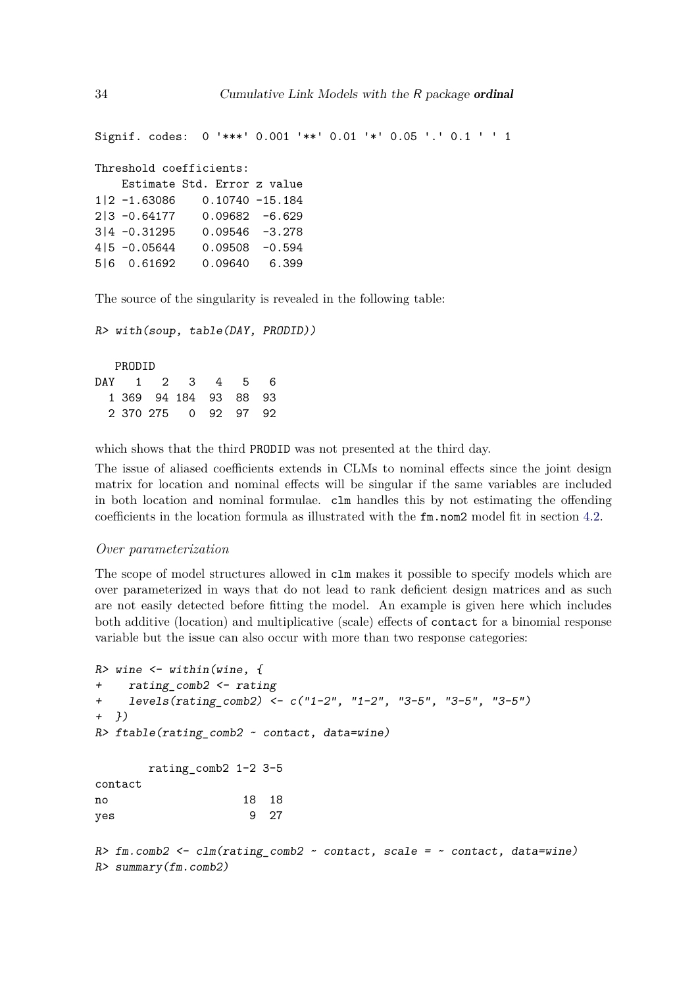Signif. codes: 0 '\*\*\*' 0.001 '\*\*' 0.01 '\*' 0.05 '.' 0.1 ' ' 1 Threshold coefficients: Estimate Std. Error z value 1|2 -1.63086 0.10740 -15.184 2|3 -0.64177 0.09682 -6.629 3|4 -0.31295 0.09546 -3.278 4|5 -0.05644 0.09508 -0.594 5|6 0.61692 0.09640 6.399

The source of the singularity is revealed in the following table:

*R> with(soup, table(DAY, PRODID))*

PRODID DAY 1 2 3 4 5 6 1 369 94 184 93 88 93 2 370 275 0 92 97 92

which shows that the third PRODID was not presented at the third day.

The issue of aliased coefficients extends in CLMs to nominal effects since the joint design matrix for location and nominal effects will be singular if the same variables are included in both location and nominal formulae. clm handles this by not estimating the offending coefficients in the location formula as illustrated with the fm.nom2 model fit in section [4.2.](#page-17-0)

#### *Over parameterization*

*R> summary(fm.comb2)*

The scope of model structures allowed in clm makes it possible to specify models which are over parameterized in ways that do not lead to rank deficient design matrices and as such are not easily detected before fitting the model. An example is given here which includes both additive (location) and multiplicative (scale) effects of contact for a binomial response variable but the issue can also occur with more than two response categories:

```
R> wine <- within(wine, {
+ rating_comb2 <- rating
+ levels(rating_comb2) <- c("1-2", "1-2", "3-5", "3-5", "3-5")
+ })
R> ftable(rating_comb2 ~ contact, data=wine)
       rating_comb2 1-2 3-5
contact
no 18 18
yes 9 27
R> fm.comb2 <- clm(rating_comb2 ~ contact, scale = ~ contact, data=wine)
```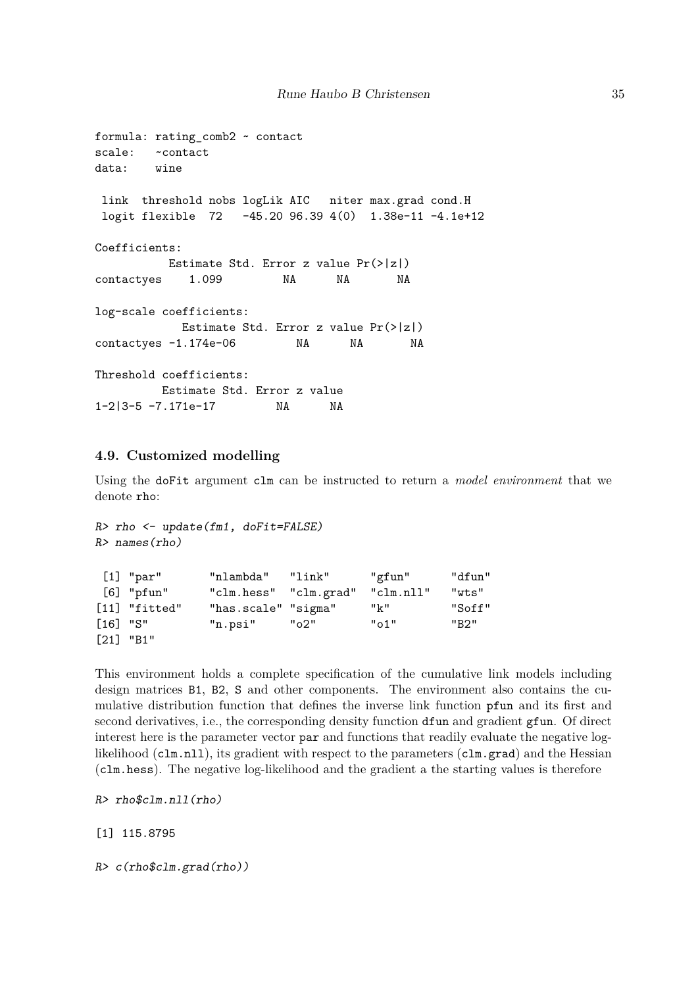```
formula: rating_comb2 ~ contact
scale: ~contact
data: wine
link threshold nobs logLik AIC niter max.grad cond.H
logit flexible 72 -45.20 96.39 4(0) 1.38e-11 -4.1e+12
Coefficients:
         Estimate Std. Error z value Pr(>|z|)
contactves 1.099 NA NA NA
log-scale coefficients:
           Estimate Std. Error z value Pr(>|z|)
contactyes -1.174e-06 NA NA NA
Threshold coefficients:
        Estimate Std. Error z value
1-2|3-5 -7.171e-17 NA NA
```
## <span id="page-34-0"></span>**4.9. Customized modelling**

Using the doFit argument clm can be instructed to return a *model environment* that we denote rho:

```
R> rho <- update(fm1, doFit=FALSE)
R> names(rho)
```

|            | $[1]$ "par"     | "nlambda"             | "link" | "gfun"    | "dfun" |
|------------|-----------------|-----------------------|--------|-----------|--------|
|            | $[6]$ "pfun"    | "clm.hess" "clm.grad" |        | "clm.nll" | "wts"  |
|            | $[11]$ "fitted" | "has.scale" "sigma"   |        | " $k$ "   | "Soff" |
| $[16]$ "S" |                 | "n.psi"               | ് 2"   | "o1"      | "B2"   |
|            | $[21]$ "B1"     |                       |        |           |        |

This environment holds a complete specification of the cumulative link models including design matrices B1, B2, S and other components. The environment also contains the cumulative distribution function that defines the inverse link function pfun and its first and second derivatives, i.e., the corresponding density function dfun and gradient gfun. Of direct interest here is the parameter vector par and functions that readily evaluate the negative loglikelihood (clm.nll), its gradient with respect to the parameters (clm.grad) and the Hessian (clm.hess). The negative log-likelihood and the gradient a the starting values is therefore

```
R> rho$clm.nll(rho)
```
[1] 115.8795

*R> c(rho\$clm.grad(rho))*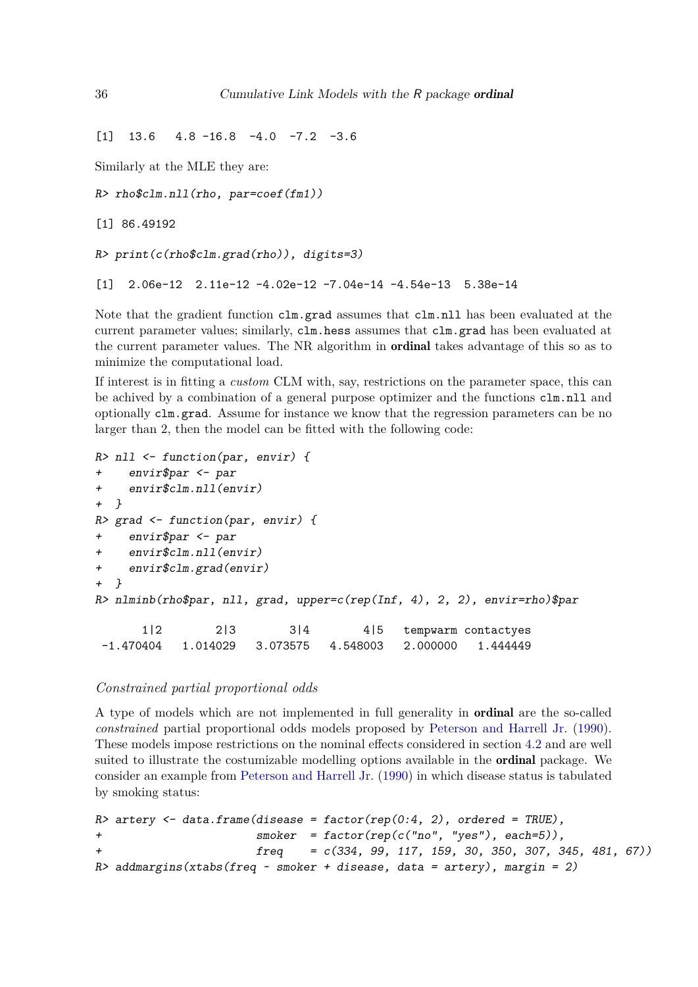$[1]$  13.6 4.8 -16.8 -4.0 -7.2 -3.6

Similarly at the MLE they are:

```
R> rho$clm.nll(rho, par=coef(fm1))
```
[1] 86.49192

```
R> print(c(rho$clm.grad(rho)), digits=3)
```

```
[1] 2.06e-12 2.11e-12 -4.02e-12 -7.04e-14 -4.54e-13 5.38e-14
```
Note that the gradient function clm.grad assumes that clm.nll has been evaluated at the current parameter values; similarly, clm.hess assumes that clm.grad has been evaluated at the current parameter values. The NR algorithm in ordinal takes advantage of this so as to minimize the computational load.

If interest is in fitting a *custom* CLM with, say, restrictions on the parameter space, this can be achived by a combination of a general purpose optimizer and the functions  $clm.nll$  and optionally clm.grad. Assume for instance we know that the regression parameters can be no larger than 2, then the model can be fitted with the following code:

```
R> nll <- function(par, envir) {
    + envir$par <- par
+ envir$clm.nll(envir)
+ }
R> grad <- function(par, envir) {
+ envir$par <- par
    + envir$clm.nll(envir)
+ envir$clm.grad(envir)
+ }
R> nlminb(rho$par, nll, grad, upper=c(rep(Inf, 4), 2, 2), envir=rho)$par
      1|2 2|3 3|4 4|5 tempwarm contactyes
-1.470404 1.014029 3.073575 4.548003 2.000000 1.444449
```
## *Constrained partial proportional odds*

A type of models which are not implemented in full generality in ordinal are the so-called *constrained* partial proportional odds models proposed by [Peterson and Harrell Jr.](#page-38-7) [\(1990\)](#page-38-7). These models impose restrictions on the nominal effects considered in section [4.2](#page-17-0) and are well suited to illustrate the costumizable modelling options available in the ordinal package. We consider an example from [Peterson and Harrell Jr.](#page-38-7) [\(1990\)](#page-38-7) in which disease status is tabulated by smoking status:

```
R> artery <- data.frame(disease = factor(rep(0:4, 2), ordered = TRUE),
+ smoker = factor(rep(c("no", "yes"), each=5)),
+ freq = c(334, 99, 117, 159, 30, 350, 307, 345, 481, 67))
R> addmargins(xtabs(freq ~ smoker + disease, data = artery), margin = 2)
```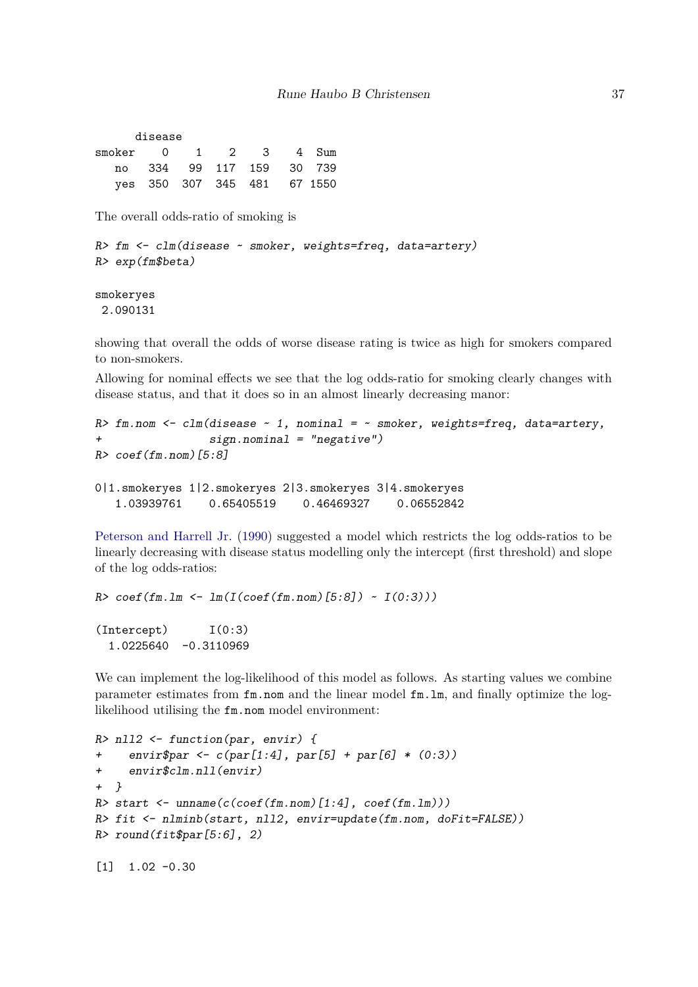|                      | disease |  |                             |  |
|----------------------|---------|--|-----------------------------|--|
| smoker 0 1 2 3 4 Sum |         |  |                             |  |
|                      |         |  | no 334 99 117 159 30 739    |  |
|                      |         |  | yes 350 307 345 481 67 1550 |  |

The overall odds-ratio of smoking is

```
R> fm <- clm(disease ~ smoker, weights=freq, data=artery)
R> exp(fm$beta)
```
smokeryes 2.090131

showing that overall the odds of worse disease rating is twice as high for smokers compared to non-smokers.

Allowing for nominal effects we see that the log odds-ratio for smoking clearly changes with disease status, and that it does so in an almost linearly decreasing manor:

```
R> fm.nom <- clm(disease ~ 1, nominal = ~ smoker, weights=freq, data=artery,
+ sign.nominal = "negative")
R> coef(fm.nom)[5:8]
0|1.smokeryes 1|2.smokeryes 2|3.smokeryes 3|4.smokeryes
   1.03939761 0.65405519 0.46469327 0.06552842
```
[Peterson and Harrell Jr.](#page-38-7) [\(1990\)](#page-38-7) suggested a model which restricts the log odds-ratios to be linearly decreasing with disease status modelling only the intercept (first threshold) and slope of the log odds-ratios:

```
R> coef(fm.lm <- lm(I(coef(fm.nom)[5:8]) ~ I(0:3)))
(Intercept) I(0:3)
  1.0225640 -0.3110969
```
We can implement the log-likelihood of this model as follows. As starting values we combine parameter estimates from fm.nom and the linear model fm.lm, and finally optimize the loglikelihood utilising the fm.nom model environment:

```
R> nll2 <- function(par, envir) {
+ envir$par <- c(par[1:4], par[5] + par[6] * (0:3))
+ envir$clm.nll(envir)
+ }
R> start <- unname(c(coef(fm.nom)[1:4], coef(fm.lm)))
R> fit <- nlminb(start, nll2, envir=update(fm.nom, doFit=FALSE))
R> round(fit$par[5:6], 2)
```

```
[1] 1.02 -0.30
```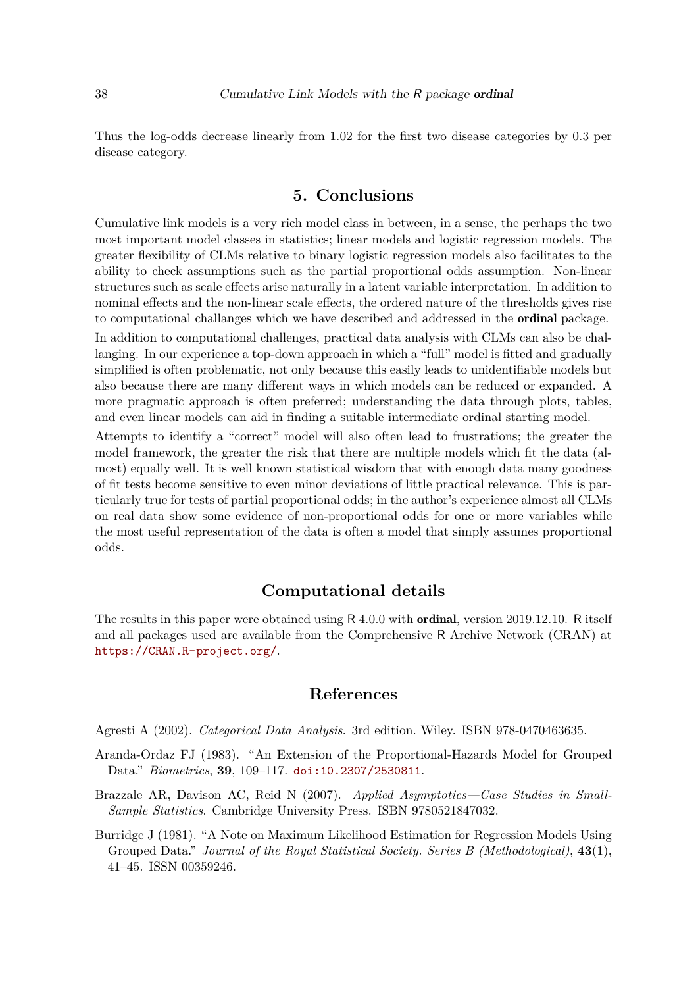Thus the log-odds decrease linearly from 1.02 for the first two disease categories by 0.3 per disease category.

## **5. Conclusions**

<span id="page-37-1"></span>Cumulative link models is a very rich model class in between, in a sense, the perhaps the two most important model classes in statistics; linear models and logistic regression models. The greater flexibility of CLMs relative to binary logistic regression models also facilitates to the ability to check assumptions such as the partial proportional odds assumption. Non-linear structures such as scale effects arise naturally in a latent variable interpretation. In addition to nominal effects and the non-linear scale effects, the ordered nature of the thresholds gives rise to computational challanges which we have described and addressed in the ordinal package.

In addition to computational challenges, practical data analysis with CLMs can also be challanging. In our experience a top-down approach in which a "full" model is fitted and gradually simplified is often problematic, not only because this easily leads to unidentifiable models but also because there are many different ways in which models can be reduced or expanded. A more pragmatic approach is often preferred; understanding the data through plots, tables, and even linear models can aid in finding a suitable intermediate ordinal starting model.

Attempts to identify a "correct" model will also often lead to frustrations; the greater the model framework, the greater the risk that there are multiple models which fit the data (almost) equally well. It is well known statistical wisdom that with enough data many goodness of fit tests become sensitive to even minor deviations of little practical relevance. This is particularly true for tests of partial proportional odds; in the author's experience almost all CLMs on real data show some evidence of non-proportional odds for one or more variables while the most useful representation of the data is often a model that simply assumes proportional odds.

# **Computational details**

The results in this paper were obtained using R 4.0.0 with ordinal, version 2019.12.10. R itself and all packages used are available from the Comprehensive R Archive Network (CRAN) at <https://CRAN.R-project.org/>.

# **References**

<span id="page-37-0"></span>Agresti A (2002). *Categorical Data Analysis*. 3rd edition. Wiley. ISBN 978-0470463635.

- <span id="page-37-3"></span>Aranda-Ordaz FJ (1983). "An Extension of the Proportional-Hazards Model for Grouped Data." *Biometrics*, **39**, 109–117. [doi:10.2307/2530811](http://dx.doi.org/10.2307/2530811).
- <span id="page-37-2"></span>Brazzale AR, Davison AC, Reid N (2007). *Applied Asymptotics—Case Studies in Small-Sample Statistics*. Cambridge University Press. ISBN 9780521847032.
- <span id="page-37-4"></span>Burridge J (1981). "A Note on Maximum Likelihood Estimation for Regression Models Using Grouped Data." *Journal of the Royal Statistical Society. Series B (Methodological)*, **43**(1), 41–45. ISSN 00359246.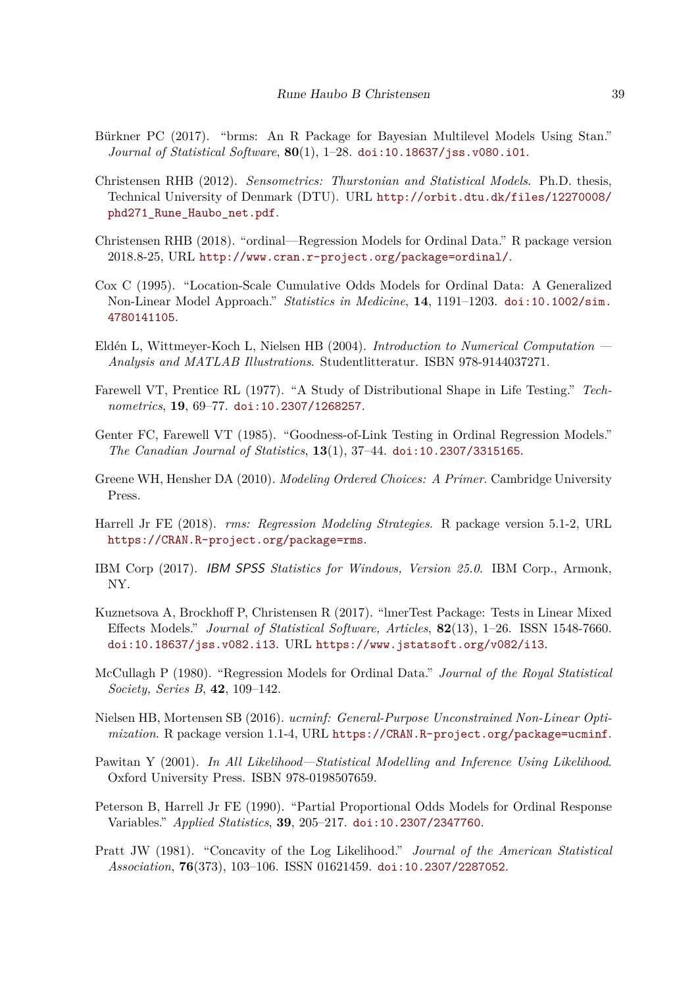- <span id="page-38-5"></span>Bürkner PC (2017). "brms: An R Package for Bayesian Multilevel Models Using Stan." *Journal of Statistical Software*, **80**(1), 1–28. [doi:10.18637/jss.v080.i01](http://dx.doi.org/10.18637/jss.v080.i01).
- <span id="page-38-11"></span>Christensen RHB (2012). *Sensometrics: Thurstonian and Statistical Models*. Ph.D. thesis, Technical University of Denmark (DTU). URL [http://orbit.dtu.dk/files/12270008/](http://orbit.dtu.dk/files/12270008/phd271_Rune_Haubo_net.pdf) [phd271\\_Rune\\_Haubo\\_net.pdf](http://orbit.dtu.dk/files/12270008/phd271_Rune_Haubo_net.pdf).
- <span id="page-38-0"></span>Christensen RHB (2018). "ordinal—Regression Models for Ordinal Data." R package version 2018.8-25, URL <http://www.cran.r-project.org/package=ordinal/>.
- <span id="page-38-8"></span>Cox C (1995). "Location-Scale Cumulative Odds Models for Ordinal Data: A Generalized Non-Linear Model Approach." *Statistics in Medicine*, **14**, 1191–1203. [doi:10.1002/sim.](http://dx.doi.org/10.1002/sim.4780141105) [4780141105](http://dx.doi.org/10.1002/sim.4780141105).
- <span id="page-38-12"></span>Eldén L, Wittmeyer-Koch L, Nielsen HB (2004). *Introduction to Numerical Computation — Analysis and MATLAB Illustrations*. Studentlitteratur. ISBN 978-9144037271.
- <span id="page-38-10"></span>Farewell VT, Prentice RL (1977). "A Study of Distributional Shape in Life Testing." *Technometrics*, **19**, 69–77. [doi:10.2307/1268257](http://dx.doi.org/10.2307/1268257).
- <span id="page-38-9"></span>Genter FC, Farewell VT (1985). "Goodness-of-Link Testing in Ordinal Regression Models." *The Canadian Journal of Statistics*, **13**(1), 37–44. [doi:10.2307/3315165](http://dx.doi.org/10.2307/3315165).
- <span id="page-38-1"></span>Greene WH, Hensher DA (2010). *Modeling Ordered Choices: A Primer*. Cambridge University Press.
- <span id="page-38-4"></span>Harrell Jr FE (2018). *rms: Regression Modeling Strategies*. R package version 5.1-2, URL <https://CRAN.R-project.org/package=rms>.
- <span id="page-38-3"></span>IBM Corp (2017). IBM SPSS *Statistics for Windows, Version 25.0*. IBM Corp., Armonk, NY.
- <span id="page-38-15"></span>Kuznetsova A, Brockhoff P, Christensen R (2017). "lmerTest Package: Tests in Linear Mixed Effects Models." *Journal of Statistical Software, Articles*, **82**(13), 1–26. ISSN 1548-7660. [doi:10.18637/jss.v082.i13](http://dx.doi.org/10.18637/jss.v082.i13). URL <https://www.jstatsoft.org/v082/i13>.
- <span id="page-38-2"></span>McCullagh P (1980). "Regression Models for Ordinal Data." *Journal of the Royal Statistical Society, Series B*, **42**, 109–142.
- <span id="page-38-14"></span>Nielsen HB, Mortensen SB (2016). *ucminf: General-Purpose Unconstrained Non-Linear Optimization*. R package version 1.1-4, URL <https://CRAN.R-project.org/package=ucminf>.
- <span id="page-38-6"></span>Pawitan Y (2001). *In All Likelihood—Statistical Modelling and Inference Using Likelihood*. Oxford University Press. ISBN 978-0198507659.
- <span id="page-38-7"></span>Peterson B, Harrell Jr FE (1990). "Partial Proportional Odds Models for Ordinal Response Variables." *Applied Statistics*, **39**, 205–217. [doi:10.2307/2347760](http://dx.doi.org/10.2307/2347760).
- <span id="page-38-13"></span>Pratt JW (1981). "Concavity of the Log Likelihood." *Journal of the American Statistical Association*, **76**(373), 103–106. ISSN 01621459. [doi:10.2307/2287052](http://dx.doi.org/10.2307/2287052).